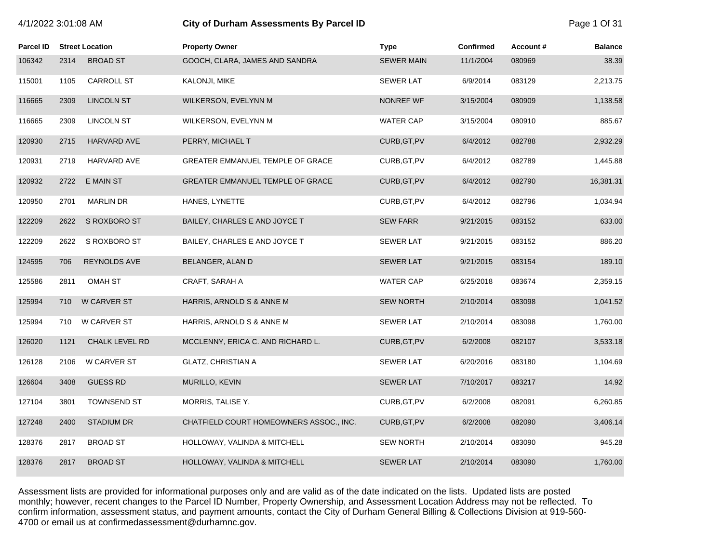# 4/1/2022 3:01:08 AM **City of Durham Assessments By Parcel ID** Page 1 Of 31

| <b>Parcel ID</b> |      | <b>Street Location</b> | <b>Property Owner</b>                   | <b>Type</b>       | <b>Confirmed</b> | Account# | <b>Balance</b> |
|------------------|------|------------------------|-----------------------------------------|-------------------|------------------|----------|----------------|
| 106342           | 2314 | <b>BROAD ST</b>        | GOOCH, CLARA, JAMES AND SANDRA          | <b>SEWER MAIN</b> | 11/1/2004        | 080969   | 38.39          |
| 115001           | 1105 | <b>CARROLL ST</b>      | KALONJI, MIKE                           | <b>SEWER LAT</b>  | 6/9/2014         | 083129   | 2,213.75       |
| 116665           | 2309 | <b>LINCOLN ST</b>      | WILKERSON, EVELYNN M                    | NONREF WF         | 3/15/2004        | 080909   | 1,138.58       |
| 116665           | 2309 | <b>LINCOLN ST</b>      | WILKERSON, EVELYNN M                    | <b>WATER CAP</b>  | 3/15/2004        | 080910   | 885.67         |
| 120930           | 2715 | <b>HARVARD AVE</b>     | PERRY, MICHAEL T                        | CURB, GT, PV      | 6/4/2012         | 082788   | 2,932.29       |
| 120931           | 2719 | HARVARD AVE            | GREATER EMMANUEL TEMPLE OF GRACE        | CURB, GT, PV      | 6/4/2012         | 082789   | 1,445.88       |
| 120932           | 2722 | E MAIN ST              | GREATER EMMANUEL TEMPLE OF GRACE        | CURB, GT, PV      | 6/4/2012         | 082790   | 16,381.31      |
| 120950           | 2701 | <b>MARLIN DR</b>       | HANES, LYNETTE                          | CURB, GT, PV      | 6/4/2012         | 082796   | 1,034.94       |
| 122209           | 2622 | S ROXBORO ST           | BAILEY, CHARLES E AND JOYCE T           | <b>SEW FARR</b>   | 9/21/2015        | 083152   | 633.00         |
| 122209           | 2622 | S ROXBORO ST           | BAILEY, CHARLES E AND JOYCE T           | <b>SEWER LAT</b>  | 9/21/2015        | 083152   | 886.20         |
| 124595           | 706  | REYNOLDS AVE           | BELANGER, ALAN D                        | <b>SEWER LAT</b>  | 9/21/2015        | 083154   | 189.10         |
| 125586           | 2811 | <b>OMAH ST</b>         | CRAFT, SARAH A                          | <b>WATER CAP</b>  | 6/25/2018        | 083674   | 2,359.15       |
| 125994           | 710  | W CARVER ST            | HARRIS, ARNOLD S & ANNE M               | <b>SEW NORTH</b>  | 2/10/2014        | 083098   | 1,041.52       |
| 125994           | 710  | <b>W CARVER ST</b>     | HARRIS, ARNOLD S & ANNE M               | <b>SEWER LAT</b>  | 2/10/2014        | 083098   | 1,760.00       |
| 126020           | 1121 | <b>CHALK LEVEL RD</b>  | MCCLENNY, ERICA C. AND RICHARD L.       | CURB, GT, PV      | 6/2/2008         | 082107   | 3,533.18       |
| 126128           | 2106 | W CARVER ST            | <b>GLATZ, CHRISTIAN A</b>               | <b>SEWER LAT</b>  | 6/20/2016        | 083180   | 1,104.69       |
| 126604           | 3408 | <b>GUESS RD</b>        | MURILLO, KEVIN                          | <b>SEWER LAT</b>  | 7/10/2017        | 083217   | 14.92          |
| 127104           | 3801 | <b>TOWNSEND ST</b>     | MORRIS, TALISE Y.                       | CURB, GT, PV      | 6/2/2008         | 082091   | 6,260.85       |
| 127248           | 2400 | <b>STADIUM DR</b>      | CHATFIELD COURT HOMEOWNERS ASSOC., INC. | CURB, GT, PV      | 6/2/2008         | 082090   | 3,406.14       |
| 128376           | 2817 | <b>BROAD ST</b>        | HOLLOWAY, VALINDA & MITCHELL            | <b>SEW NORTH</b>  | 2/10/2014        | 083090   | 945.28         |
| 128376           | 2817 | <b>BROAD ST</b>        | HOLLOWAY, VALINDA & MITCHELL            | <b>SEWER LAT</b>  | 2/10/2014        | 083090   | 1,760.00       |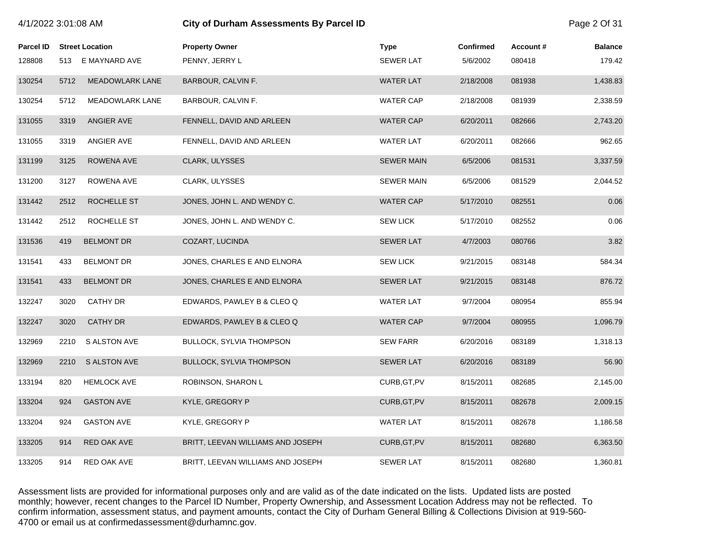| 4/1/2022 3:01:08 AM |      |                        | City of Durham Assessments By Parcel ID | Page 2 Of 31      |           |          |                |
|---------------------|------|------------------------|-----------------------------------------|-------------------|-----------|----------|----------------|
| <b>Parcel ID</b>    |      | <b>Street Location</b> | <b>Property Owner</b>                   | <b>Type</b>       | Confirmed | Account# | <b>Balance</b> |
| 128808              |      | 513 E MAYNARD AVE      | PENNY, JERRY L                          | <b>SEWER LAT</b>  | 5/6/2002  | 080418   | 179.42         |
| 130254              | 5712 | <b>MEADOWLARK LANE</b> | BARBOUR, CALVIN F.                      | <b>WATER LAT</b>  | 2/18/2008 | 081938   | 1,438.83       |
| 130254              | 5712 | <b>MEADOWLARK LANE</b> | BARBOUR, CALVIN F.                      | <b>WATER CAP</b>  | 2/18/2008 | 081939   | 2,338.59       |
| 131055              | 3319 | ANGIER AVE             | FENNELL, DAVID AND ARLEEN               | <b>WATER CAP</b>  | 6/20/2011 | 082666   | 2,743.20       |
| 131055              | 3319 | ANGIER AVE             | FENNELL, DAVID AND ARLEEN               | <b>WATER LAT</b>  | 6/20/2011 | 082666   | 962.65         |
| 131199              | 3125 | ROWENA AVE             | CLARK, ULYSSES                          | <b>SEWER MAIN</b> | 6/5/2006  | 081531   | 3,337.59       |
| 131200              | 3127 | ROWENA AVE             | CLARK, ULYSSES                          | <b>SEWER MAIN</b> | 6/5/2006  | 081529   | 2,044.52       |
| 131442              | 2512 | ROCHELLE ST            | JONES, JOHN L. AND WENDY C.             | <b>WATER CAP</b>  | 5/17/2010 | 082551   | 0.06           |
| 131442              | 2512 | ROCHELLE ST            | JONES, JOHN L. AND WENDY C.             | <b>SEW LICK</b>   | 5/17/2010 | 082552   | 0.06           |
| 131536              | 419  | <b>BELMONT DR</b>      | COZART, LUCINDA                         | <b>SEWER LAT</b>  | 4/7/2003  | 080766   | 3.82           |
| 131541              | 433  | <b>BELMONT DR</b>      | JONES, CHARLES E AND ELNORA             | <b>SEW LICK</b>   | 9/21/2015 | 083148   | 584.34         |
| 131541              | 433  | <b>BELMONT DR</b>      | JONES, CHARLES E AND ELNORA             | <b>SEWER LAT</b>  | 9/21/2015 | 083148   | 876.72         |
| 132247              | 3020 | <b>CATHY DR</b>        | EDWARDS, PAWLEY B & CLEO Q              | <b>WATER LAT</b>  | 9/7/2004  | 080954   | 855.94         |
| 132247              | 3020 | <b>CATHY DR</b>        | EDWARDS, PAWLEY B & CLEO Q              | <b>WATER CAP</b>  | 9/7/2004  | 080955   | 1,096.79       |
| 132969              | 2210 | <b>S ALSTON AVE</b>    | <b>BULLOCK, SYLVIA THOMPSON</b>         | <b>SEW FARR</b>   | 6/20/2016 | 083189   | 1,318.13       |
| 132969              | 2210 | <b>S ALSTON AVE</b>    | <b>BULLOCK, SYLVIA THOMPSON</b>         | <b>SEWER LAT</b>  | 6/20/2016 | 083189   | 56.90          |
| 133194              | 820  | <b>HEMLOCK AVE</b>     | ROBINSON, SHARON L                      | CURB, GT, PV      | 8/15/2011 | 082685   | 2,145.00       |
| 133204              | 924  | <b>GASTON AVE</b>      | KYLE, GREGORY P                         | CURB, GT, PV      | 8/15/2011 | 082678   | 2,009.15       |
| 133204              | 924  | <b>GASTON AVE</b>      | KYLE, GREGORY P                         | <b>WATER LAT</b>  | 8/15/2011 | 082678   | 1,186.58       |
| 133205              | 914  | RED OAK AVE            | BRITT, LEEVAN WILLIAMS AND JOSEPH       | CURB, GT, PV      | 8/15/2011 | 082680   | 6,363.50       |
| 133205              | 914  | RED OAK AVE            | BRITT, LEEVAN WILLIAMS AND JOSEPH       | <b>SEWER LAT</b>  | 8/15/2011 | 082680   | 1,360.81       |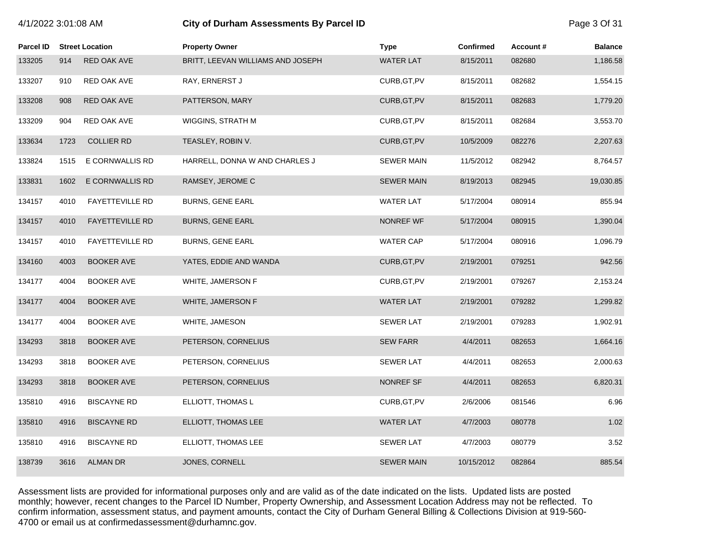| Parcel ID |      | <b>Street Location</b> | <b>Property Owner</b>             | <b>Type</b>       | <b>Confirmed</b> | Account# | <b>Balance</b> |
|-----------|------|------------------------|-----------------------------------|-------------------|------------------|----------|----------------|
| 133205    | 914  | RED OAK AVE            | BRITT, LEEVAN WILLIAMS AND JOSEPH | <b>WATER LAT</b>  | 8/15/2011        | 082680   | 1,186.58       |
| 133207    | 910  | RED OAK AVE            | RAY, ERNERST J                    | CURB, GT, PV      | 8/15/2011        | 082682   | 1,554.15       |
| 133208    | 908  | RED OAK AVE            | PATTERSON, MARY                   | CURB, GT, PV      | 8/15/2011        | 082683   | 1,779.20       |
| 133209    | 904  | RED OAK AVE            | WIGGINS, STRATH M                 | CURB, GT, PV      | 8/15/2011        | 082684   | 3,553.70       |
| 133634    | 1723 | <b>COLLIER RD</b>      | TEASLEY, ROBIN V.                 | CURB, GT, PV      | 10/5/2009        | 082276   | 2,207.63       |
| 133824    | 1515 | E CORNWALLIS RD        | HARRELL, DONNA W AND CHARLES J    | <b>SEWER MAIN</b> | 11/5/2012        | 082942   | 8,764.57       |
| 133831    | 1602 | E CORNWALLIS RD        | RAMSEY, JEROME C                  | <b>SEWER MAIN</b> | 8/19/2013        | 082945   | 19,030.85      |
| 134157    | 4010 | <b>FAYETTEVILLE RD</b> | <b>BURNS, GENE EARL</b>           | <b>WATER LAT</b>  | 5/17/2004        | 080914   | 855.94         |
| 134157    | 4010 | <b>FAYETTEVILLE RD</b> | <b>BURNS, GENE EARL</b>           | NONREF WF         | 5/17/2004        | 080915   | 1,390.04       |
| 134157    | 4010 | <b>FAYETTEVILLE RD</b> | <b>BURNS, GENE EARL</b>           | <b>WATER CAP</b>  | 5/17/2004        | 080916   | 1,096.79       |
| 134160    | 4003 | <b>BOOKER AVE</b>      | YATES, EDDIE AND WANDA            | CURB, GT, PV      | 2/19/2001        | 079251   | 942.56         |
| 134177    | 4004 | <b>BOOKER AVE</b>      | WHITE, JAMERSON F                 | CURB, GT, PV      | 2/19/2001        | 079267   | 2,153.24       |
| 134177    | 4004 | <b>BOOKER AVE</b>      | WHITE, JAMERSON F                 | <b>WATER LAT</b>  | 2/19/2001        | 079282   | 1,299.82       |
| 134177    | 4004 | <b>BOOKER AVE</b>      | WHITE, JAMESON                    | <b>SEWER LAT</b>  | 2/19/2001        | 079283   | 1,902.91       |
| 134293    | 3818 | <b>BOOKER AVE</b>      | PETERSON, CORNELIUS               | <b>SEW FARR</b>   | 4/4/2011         | 082653   | 1,664.16       |
| 134293    | 3818 | <b>BOOKER AVE</b>      | PETERSON, CORNELIUS               | <b>SEWER LAT</b>  | 4/4/2011         | 082653   | 2,000.63       |
| 134293    | 3818 | <b>BOOKER AVE</b>      | PETERSON, CORNELIUS               | NONREF SF         | 4/4/2011         | 082653   | 6,820.31       |
| 135810    | 4916 | <b>BISCAYNE RD</b>     | ELLIOTT, THOMAS L                 | CURB, GT, PV      | 2/6/2006         | 081546   | 6.96           |
| 135810    | 4916 | <b>BISCAYNE RD</b>     | ELLIOTT, THOMAS LEE               | WATER LAT         | 4/7/2003         | 080778   | 1.02           |
| 135810    | 4916 | <b>BISCAYNE RD</b>     | ELLIOTT, THOMAS LEE               | <b>SEWER LAT</b>  | 4/7/2003         | 080779   | 3.52           |
| 138739    | 3616 | <b>ALMAN DR</b>        | JONES, CORNELL                    | <b>SEWER MAIN</b> | 10/15/2012       | 082864   | 885.54         |

4/1/2022 3:01:08 AM **City of Durham Assessments By Parcel ID** Page 3 Of 31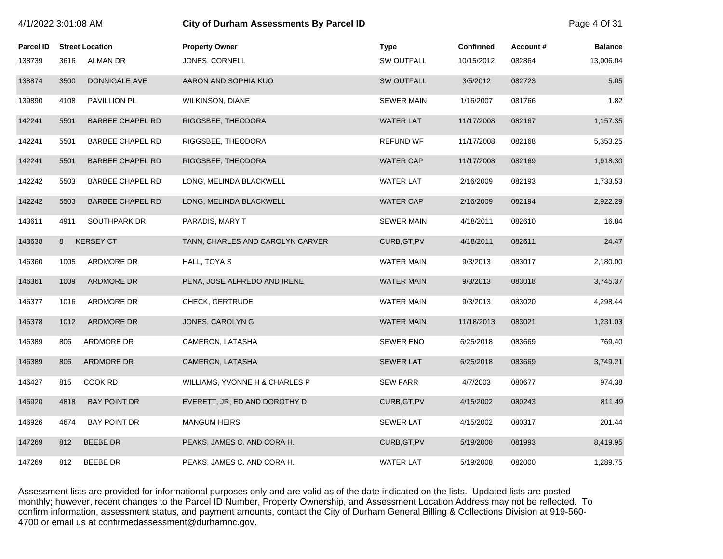| 4/1/2022 3:01:08 AM |      |                         | City of Durham Assessments By Parcel ID | Page 4 Of 31      |                  |          |                |
|---------------------|------|-------------------------|-----------------------------------------|-------------------|------------------|----------|----------------|
| <b>Parcel ID</b>    |      | <b>Street Location</b>  | <b>Property Owner</b>                   | <b>Type</b>       | <b>Confirmed</b> | Account# | <b>Balance</b> |
| 138739              | 3616 | ALMAN DR                | JONES, CORNELL                          | <b>SW OUTFALL</b> | 10/15/2012       | 082864   | 13,006.04      |
| 138874              | 3500 | DONNIGALE AVE           | AARON AND SOPHIA KUO                    | <b>SW OUTFALL</b> | 3/5/2012         | 082723   | 5.05           |
| 139890              | 4108 | PAVILLION PL            | <b>WILKINSON, DIANE</b>                 | <b>SEWER MAIN</b> | 1/16/2007        | 081766   | 1.82           |
| 142241              | 5501 | <b>BARBEE CHAPEL RD</b> | RIGGSBEE, THEODORA                      | <b>WATER LAT</b>  | 11/17/2008       | 082167   | 1,157.35       |
| 142241              | 5501 | BARBEE CHAPEL RD        | RIGGSBEE, THEODORA                      | <b>REFUND WF</b>  | 11/17/2008       | 082168   | 5,353.25       |
| 142241              | 5501 | <b>BARBEE CHAPEL RD</b> | RIGGSBEE, THEODORA                      | <b>WATER CAP</b>  | 11/17/2008       | 082169   | 1,918.30       |
| 142242              | 5503 | BARBEE CHAPEL RD        | LONG, MELINDA BLACKWELL                 | <b>WATER LAT</b>  | 2/16/2009        | 082193   | 1,733.53       |
| 142242              | 5503 | <b>BARBEE CHAPEL RD</b> | LONG, MELINDA BLACKWELL                 | <b>WATER CAP</b>  | 2/16/2009        | 082194   | 2,922.29       |
| 143611              | 4911 | SOUTHPARK DR            | PARADIS, MARY T                         | <b>SEWER MAIN</b> | 4/18/2011        | 082610   | 16.84          |
| 143638              | 8    | <b>KERSEY CT</b>        | TANN, CHARLES AND CAROLYN CARVER        | CURB, GT, PV      | 4/18/2011        | 082611   | 24.47          |
| 146360              | 1005 | ARDMORE DR              | HALL, TOYA S                            | <b>WATER MAIN</b> | 9/3/2013         | 083017   | 2,180.00       |
| 146361              | 1009 | ARDMORE DR              | PENA, JOSE ALFREDO AND IRENE            | <b>WATER MAIN</b> | 9/3/2013         | 083018   | 3,745.37       |
| 146377              | 1016 | ARDMORE DR              | CHECK, GERTRUDE                         | WATER MAIN        | 9/3/2013         | 083020   | 4,298.44       |
| 146378              | 1012 | ARDMORE DR              | JONES, CAROLYN G                        | <b>WATER MAIN</b> | 11/18/2013       | 083021   | 1,231.03       |
| 146389              | 806  | ARDMORE DR              | CAMERON, LATASHA                        | <b>SEWER ENO</b>  | 6/25/2018        | 083669   | 769.40         |
| 146389              | 806  | ARDMORE DR              | CAMERON, LATASHA                        | <b>SEWER LAT</b>  | 6/25/2018        | 083669   | 3,749.21       |
| 146427              | 815  | COOK RD                 | WILLIAMS, YVONNE H & CHARLES P          | <b>SEW FARR</b>   | 4/7/2003         | 080677   | 974.38         |
| 146920              | 4818 | <b>BAY POINT DR</b>     | EVERETT, JR, ED AND DOROTHY D           | CURB, GT, PV      | 4/15/2002        | 080243   | 811.49         |
| 146926              | 4674 | <b>BAY POINT DR</b>     | <b>MANGUM HEIRS</b>                     | <b>SEWER LAT</b>  | 4/15/2002        | 080317   | 201.44         |
| 147269              | 812  | <b>BEEBE DR</b>         | PEAKS, JAMES C. AND CORA H.             | CURB, GT, PV      | 5/19/2008        | 081993   | 8,419.95       |
| 147269              | 812  | <b>BEEBE DR</b>         | PEAKS, JAMES C. AND CORA H.             | <b>WATER LAT</b>  | 5/19/2008        | 082000   | 1,289.75       |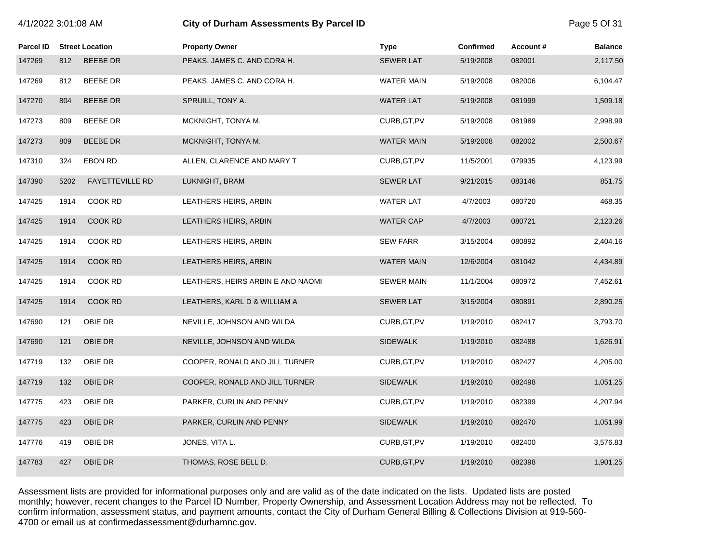| 4/1/2022 3:01:08 AM |      |                        | City of Durham Assessments By Parcel ID | Page 5 Of 31      |           |          |                |
|---------------------|------|------------------------|-----------------------------------------|-------------------|-----------|----------|----------------|
| Parcel ID           |      | <b>Street Location</b> | <b>Property Owner</b>                   | <b>Type</b>       | Confirmed | Account# | <b>Balance</b> |
| 147269              | 812  | <b>BEEBE DR</b>        | PEAKS, JAMES C. AND CORA H.             | <b>SEWER LAT</b>  | 5/19/2008 | 082001   | 2,117.50       |
| 147269              | 812  | <b>BEEBE DR</b>        | PEAKS, JAMES C. AND CORA H.             | <b>WATER MAIN</b> | 5/19/2008 | 082006   | 6,104.47       |
| 147270              | 804  | <b>BEEBE DR</b>        | SPRUILL, TONY A.                        | <b>WATER LAT</b>  | 5/19/2008 | 081999   | 1,509.18       |
| 147273              | 809  | <b>BEEBE DR</b>        | MCKNIGHT, TONYA M.                      | CURB, GT, PV      | 5/19/2008 | 081989   | 2,998.99       |
| 147273              | 809  | <b>BEEBE DR</b>        | MCKNIGHT, TONYA M.                      | <b>WATER MAIN</b> | 5/19/2008 | 082002   | 2,500.67       |
| 147310              | 324  | EBON RD                | ALLEN, CLARENCE AND MARY T              | CURB, GT, PV      | 11/5/2001 | 079935   | 4,123.99       |
| 147390              | 5202 | <b>FAYETTEVILLE RD</b> | LUKNIGHT, BRAM                          | <b>SEWER LAT</b>  | 9/21/2015 | 083146   | 851.75         |
| 147425              | 1914 | COOK RD                | LEATHERS HEIRS, ARBIN                   | <b>WATER LAT</b>  | 4/7/2003  | 080720   | 468.35         |
| 147425              | 1914 | COOK RD                | LEATHERS HEIRS, ARBIN                   | <b>WATER CAP</b>  | 4/7/2003  | 080721   | 2,123.26       |
| 147425              | 1914 | COOK RD                | LEATHERS HEIRS, ARBIN                   | <b>SEW FARR</b>   | 3/15/2004 | 080892   | 2,404.16       |
| 147425              | 1914 | COOK RD                | LEATHERS HEIRS, ARBIN                   | <b>WATER MAIN</b> | 12/6/2004 | 081042   | 4,434.89       |
| 147425              | 1914 | COOK RD                | LEATHERS, HEIRS ARBIN E AND NAOMI       | <b>SEWER MAIN</b> | 11/1/2004 | 080972   | 7,452.61       |
| 147425              | 1914 | COOK RD                | LEATHERS, KARL D & WILLIAM A            | <b>SEWER LAT</b>  | 3/15/2004 | 080891   | 2,890.25       |
| 147690              | 121  | OBIE DR                | NEVILLE, JOHNSON AND WILDA              | CURB, GT, PV      | 1/19/2010 | 082417   | 3,793.70       |
| 147690              | 121  | OBIE DR                | NEVILLE, JOHNSON AND WILDA              | <b>SIDEWALK</b>   | 1/19/2010 | 082488   | 1,626.91       |
| 147719              | 132  | OBIE DR                | COOPER, RONALD AND JILL TURNER          | CURB, GT, PV      | 1/19/2010 | 082427   | 4,205.00       |
| 147719              | 132  | OBIE DR                | COOPER, RONALD AND JILL TURNER          | <b>SIDEWALK</b>   | 1/19/2010 | 082498   | 1,051.25       |
| 147775              | 423  | OBIE DR                | PARKER, CURLIN AND PENNY                | CURB, GT, PV      | 1/19/2010 | 082399   | 4,207.94       |
| 147775              | 423  | OBIE DR                | PARKER, CURLIN AND PENNY                | <b>SIDEWALK</b>   | 1/19/2010 | 082470   | 1,051.99       |
| 147776              | 419  | OBIE DR                | JONES, VITA L.                          | CURB, GT, PV      | 1/19/2010 | 082400   | 3,576.83       |
| 147783              | 427  | OBIE DR                | THOMAS, ROSE BELL D.                    | CURB, GT, PV      | 1/19/2010 | 082398   | 1,901.25       |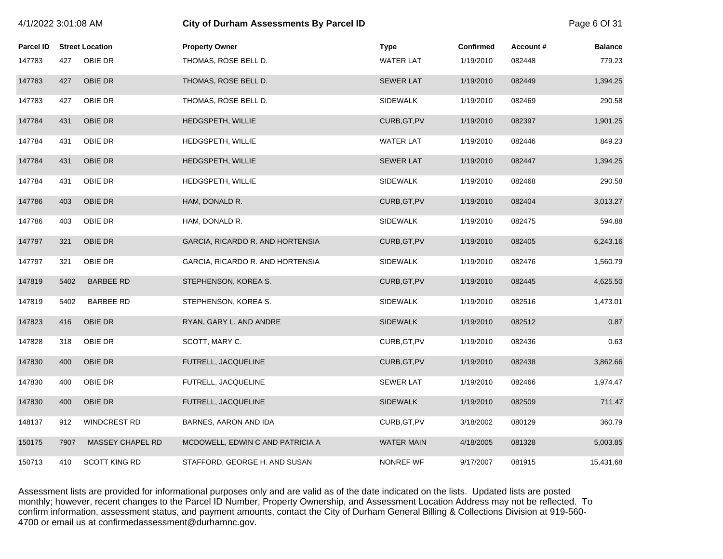| 4/1/2022 3:01:08 AM |      |                        | <b>City of Durham Assessments By Parcel ID</b> |                   |                  |          |                |
|---------------------|------|------------------------|------------------------------------------------|-------------------|------------------|----------|----------------|
| <b>Parcel ID</b>    |      | <b>Street Location</b> | <b>Property Owner</b>                          | <b>Type</b>       | <b>Confirmed</b> | Account# | <b>Balance</b> |
| 147783              | 427  | OBIE DR                | THOMAS, ROSE BELL D.                           | <b>WATER LAT</b>  | 1/19/2010        | 082448   | 779.23         |
| 147783              | 427  | OBIE DR                | THOMAS, ROSE BELL D.                           | <b>SEWER LAT</b>  | 1/19/2010        | 082449   | 1,394.25       |
| 147783              | 427  | OBIE DR                | THOMAS, ROSE BELL D.                           | <b>SIDEWALK</b>   | 1/19/2010        | 082469   | 290.58         |
| 147784              | 431  | OBIE DR                | HEDGSPETH, WILLIE                              | CURB, GT, PV      | 1/19/2010        | 082397   | 1,901.25       |
| 147784              | 431  | OBIE DR                | HEDGSPETH, WILLIE                              | <b>WATER LAT</b>  | 1/19/2010        | 082446   | 849.23         |
| 147784              | 431  | OBIE DR                | HEDGSPETH, WILLIE                              | <b>SEWER LAT</b>  | 1/19/2010        | 082447   | 1,394.25       |
| 147784              | 431  | OBIE DR                | <b>HEDGSPETH, WILLIE</b>                       | <b>SIDEWALK</b>   | 1/19/2010        | 082468   | 290.58         |
| 147786              | 403  | OBIE DR                | HAM, DONALD R.                                 | CURB, GT, PV      | 1/19/2010        | 082404   | 3,013.27       |
| 147786              | 403  | OBIE DR                | HAM, DONALD R.                                 | <b>SIDEWALK</b>   | 1/19/2010        | 082475   | 594.88         |
| 147797              | 321  | OBIE DR                | GARCIA, RICARDO R. AND HORTENSIA               | CURB, GT, PV      | 1/19/2010        | 082405   | 6,243.16       |
| 147797              | 321  | OBIE DR                | GARCIA, RICARDO R. AND HORTENSIA               | <b>SIDEWALK</b>   | 1/19/2010        | 082476   | 1,560.79       |
| 147819              | 5402 | <b>BARBEE RD</b>       | STEPHENSON, KOREA S.                           | CURB, GT, PV      | 1/19/2010        | 082445   | 4,625.50       |
| 147819              | 5402 | <b>BARBEE RD</b>       | STEPHENSON, KOREA S.                           | <b>SIDEWALK</b>   | 1/19/2010        | 082516   | 1,473.01       |
| 147823              | 416  | OBIE DR                | RYAN, GARY L. AND ANDRE                        | <b>SIDEWALK</b>   | 1/19/2010        | 082512   | 0.87           |
| 147828              | 318  | OBIE DR                | SCOTT, MARY C.                                 | CURB, GT, PV      | 1/19/2010        | 082436   | 0.63           |
| 147830              | 400  | OBIE DR                | FUTRELL, JACQUELINE                            | CURB, GT, PV      | 1/19/2010        | 082438   | 3,862.66       |
| 147830              | 400  | OBIE DR                | FUTRELL, JACQUELINE                            | <b>SEWER LAT</b>  | 1/19/2010        | 082466   | 1,974.47       |
| 147830              | 400  | OBIE DR                | FUTRELL, JACQUELINE                            | <b>SIDEWALK</b>   | 1/19/2010        | 082509   | 711.47         |
| 148137              | 912  | <b>WINDCREST RD</b>    | BARNES, AARON AND IDA                          | CURB, GT, PV      | 3/18/2002        | 080129   | 360.79         |
| 150175              | 7907 | MASSEY CHAPEL RD       | MCDOWELL, EDWIN C AND PATRICIA A               | <b>WATER MAIN</b> | 4/18/2005        | 081328   | 5,003.85       |
| 150713              | 410  | <b>SCOTT KING RD</b>   | STAFFORD, GEORGE H. AND SUSAN                  | NONREF WF         | 9/17/2007        | 081915   | 15,431.68      |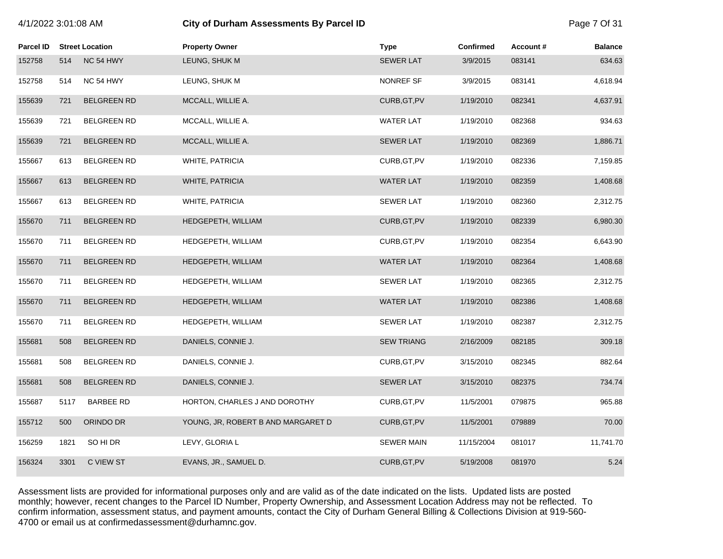|  | 4/1/2022 3:01:08 AM |
|--|---------------------|
|--|---------------------|

# **City of Durham Assessments By Parcel ID**  Page 7 Of 31

| Parcel ID |      | <b>Street Location</b> | <b>Property Owner</b>              | <b>Type</b>       | <b>Confirmed</b> | Account# | <b>Balance</b> |
|-----------|------|------------------------|------------------------------------|-------------------|------------------|----------|----------------|
| 152758    | 514  | NC 54 HWY              | LEUNG, SHUK M                      | <b>SEWER LAT</b>  | 3/9/2015         | 083141   | 634.63         |
| 152758    | 514  | NC 54 HWY              | LEUNG, SHUK M                      | NONREF SF         | 3/9/2015         | 083141   | 4,618.94       |
| 155639    | 721  | <b>BELGREEN RD</b>     | MCCALL, WILLIE A.                  | CURB, GT, PV      | 1/19/2010        | 082341   | 4,637.91       |
| 155639    | 721  | <b>BELGREEN RD</b>     | MCCALL, WILLIE A.                  | <b>WATER LAT</b>  | 1/19/2010        | 082368   | 934.63         |
| 155639    | 721  | <b>BELGREEN RD</b>     | MCCALL, WILLIE A.                  | <b>SEWER LAT</b>  | 1/19/2010        | 082369   | 1,886.71       |
| 155667    | 613  | <b>BELGREEN RD</b>     | WHITE, PATRICIA                    | CURB, GT, PV      | 1/19/2010        | 082336   | 7,159.85       |
| 155667    | 613  | <b>BELGREEN RD</b>     | WHITE, PATRICIA                    | <b>WATER LAT</b>  | 1/19/2010        | 082359   | 1,408.68       |
| 155667    | 613  | <b>BELGREEN RD</b>     | WHITE, PATRICIA                    | <b>SEWER LAT</b>  | 1/19/2010        | 082360   | 2,312.75       |
| 155670    | 711  | <b>BELGREEN RD</b>     | HEDGEPETH, WILLIAM                 | CURB, GT, PV      | 1/19/2010        | 082339   | 6,980.30       |
| 155670    | 711  | <b>BELGREEN RD</b>     | HEDGEPETH, WILLIAM                 | CURB, GT, PV      | 1/19/2010        | 082354   | 6,643.90       |
| 155670    | 711  | <b>BELGREEN RD</b>     | HEDGEPETH, WILLIAM                 | <b>WATER LAT</b>  | 1/19/2010        | 082364   | 1,408.68       |
| 155670    | 711  | <b>BELGREEN RD</b>     | HEDGEPETH, WILLIAM                 | <b>SEWER LAT</b>  | 1/19/2010        | 082365   | 2,312.75       |
| 155670    | 711  | <b>BELGREEN RD</b>     | HEDGEPETH, WILLIAM                 | <b>WATER LAT</b>  | 1/19/2010        | 082386   | 1,408.68       |
| 155670    | 711  | <b>BELGREEN RD</b>     | HEDGEPETH, WILLIAM                 | <b>SEWER LAT</b>  | 1/19/2010        | 082387   | 2,312.75       |
| 155681    | 508  | <b>BELGREEN RD</b>     | DANIELS, CONNIE J.                 | <b>SEW TRIANG</b> | 2/16/2009        | 082185   | 309.18         |
| 155681    | 508  | <b>BELGREEN RD</b>     | DANIELS, CONNIE J.                 | CURB, GT, PV      | 3/15/2010        | 082345   | 882.64         |
| 155681    | 508  | <b>BELGREEN RD</b>     | DANIELS, CONNIE J.                 | <b>SEWER LAT</b>  | 3/15/2010        | 082375   | 734.74         |
| 155687    | 5117 | <b>BARBEE RD</b>       | HORTON, CHARLES J AND DOROTHY      | CURB, GT, PV      | 11/5/2001        | 079875   | 965.88         |
| 155712    | 500  | ORINDO DR              | YOUNG, JR, ROBERT B AND MARGARET D | CURB, GT, PV      | 11/5/2001        | 079889   | 70.00          |
| 156259    | 1821 | SO HI DR               | LEVY, GLORIA L                     | <b>SEWER MAIN</b> | 11/15/2004       | 081017   | 11,741.70      |
| 156324    | 3301 | C VIEW ST              | EVANS, JR., SAMUEL D.              | CURB, GT, PV      | 5/19/2008        | 081970   | 5.24           |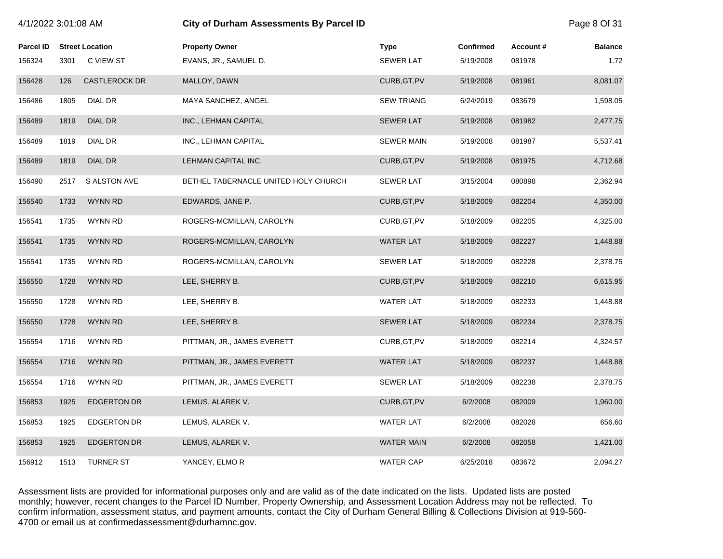| 4/1/2022 3:01:08 AM |      |                        | <b>City of Durham Assessments By Parcel ID</b> |                   |                  |          |                |
|---------------------|------|------------------------|------------------------------------------------|-------------------|------------------|----------|----------------|
| <b>Parcel ID</b>    |      | <b>Street Location</b> | <b>Property Owner</b>                          | <b>Type</b>       | <b>Confirmed</b> | Account# | <b>Balance</b> |
| 156324              | 3301 | C VIEW ST              | EVANS, JR., SAMUEL D.                          | <b>SEWER LAT</b>  | 5/19/2008        | 081978   | 1.72           |
| 156428              | 126  | <b>CASTLEROCK DR</b>   | MALLOY, DAWN                                   | CURB, GT, PV      | 5/19/2008        | 081961   | 8,081.07       |
| 156486              | 1805 | <b>DIAL DR</b>         | MAYA SANCHEZ, ANGEL                            | <b>SEW TRIANG</b> | 6/24/2019        | 083679   | 1,598.05       |
| 156489              | 1819 | <b>DIAL DR</b>         | INC., LEHMAN CAPITAL                           | <b>SEWER LAT</b>  | 5/19/2008        | 081982   | 2,477.75       |
| 156489              | 1819 | DIAL DR                | INC., LEHMAN CAPITAL                           | <b>SEWER MAIN</b> | 5/19/2008        | 081987   | 5,537.41       |
| 156489              | 1819 | DIAL DR                | LEHMAN CAPITAL INC.                            | CURB, GT, PV      | 5/19/2008        | 081975   | 4,712.68       |
| 156490              | 2517 | S ALSTON AVE           | BETHEL TABERNACLE UNITED HOLY CHURCH           | <b>SEWER LAT</b>  | 3/15/2004        | 080898   | 2,362.94       |
| 156540              | 1733 | <b>WYNN RD</b>         | EDWARDS, JANE P.                               | CURB, GT, PV      | 5/18/2009        | 082204   | 4,350.00       |
| 156541              | 1735 | <b>WYNN RD</b>         | ROGERS-MCMILLAN, CAROLYN                       | CURB, GT, PV      | 5/18/2009        | 082205   | 4,325.00       |
| 156541              | 1735 | <b>WYNN RD</b>         | ROGERS-MCMILLAN, CAROLYN                       | <b>WATER LAT</b>  | 5/18/2009        | 082227   | 1,448.88       |
| 156541              | 1735 | <b>WYNN RD</b>         | ROGERS-MCMILLAN, CAROLYN                       | <b>SEWER LAT</b>  | 5/18/2009        | 082228   | 2,378.75       |
| 156550              | 1728 | <b>WYNN RD</b>         | LEE, SHERRY B.                                 | CURB, GT, PV      | 5/18/2009        | 082210   | 6,615.95       |
| 156550              | 1728 | WYNN RD                | LEE, SHERRY B.                                 | <b>WATER LAT</b>  | 5/18/2009        | 082233   | 1,448.88       |
| 156550              | 1728 | <b>WYNN RD</b>         | LEE, SHERRY B.                                 | <b>SEWER LAT</b>  | 5/18/2009        | 082234   | 2,378.75       |
| 156554              | 1716 | <b>WYNN RD</b>         | PITTMAN, JR., JAMES EVERETT                    | CURB, GT, PV      | 5/18/2009        | 082214   | 4,324.57       |
| 156554              | 1716 | <b>WYNN RD</b>         | PITTMAN, JR., JAMES EVERETT                    | <b>WATER LAT</b>  | 5/18/2009        | 082237   | 1,448.88       |
| 156554              | 1716 | <b>WYNN RD</b>         | PITTMAN, JR., JAMES EVERETT                    | <b>SEWER LAT</b>  | 5/18/2009        | 082238   | 2,378.75       |
| 156853              | 1925 | <b>EDGERTON DR</b>     | LEMUS, ALAREK V.                               | CURB, GT, PV      | 6/2/2008         | 082009   | 1,960.00       |
| 156853              | 1925 | <b>EDGERTON DR</b>     | LEMUS, ALAREK V.                               | <b>WATER LAT</b>  | 6/2/2008         | 082028   | 656.60         |
| 156853              | 1925 | <b>EDGERTON DR</b>     | LEMUS, ALAREK V.                               | <b>WATER MAIN</b> | 6/2/2008         | 082058   | 1,421.00       |
| 156912              | 1513 | <b>TURNER ST</b>       | YANCEY, ELMOR                                  | <b>WATER CAP</b>  | 6/25/2018        | 083672   | 2,094.27       |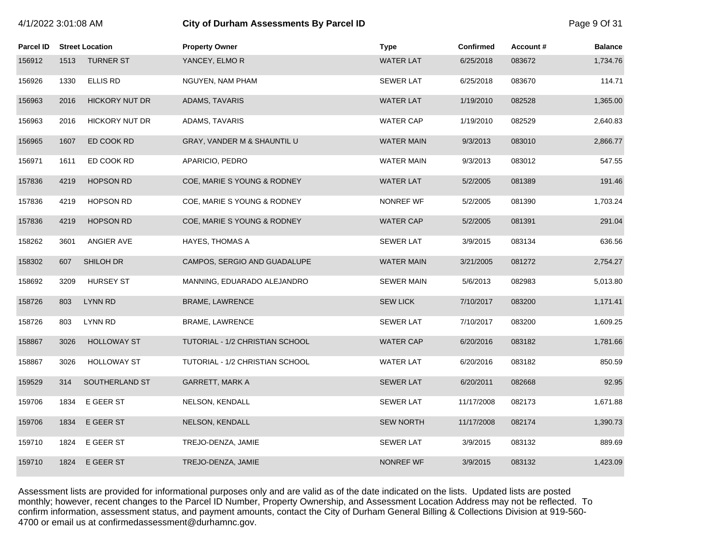| 4/1/2022 3:01:08 AM |  |  |
|---------------------|--|--|
|---------------------|--|--|

# **City of Durham Assessments By Parcel ID**  Page 9 Of 31

| Parcel ID |      | <b>Street Location</b> | <b>Property Owner</b>           | <b>Type</b>       | <b>Confirmed</b> | Account# | <b>Balance</b> |
|-----------|------|------------------------|---------------------------------|-------------------|------------------|----------|----------------|
| 156912    | 1513 | <b>TURNER ST</b>       | YANCEY, ELMOR                   | <b>WATER LAT</b>  | 6/25/2018        | 083672   | 1,734.76       |
| 156926    | 1330 | ELLIS RD               | NGUYEN, NAM PHAM                | <b>SEWER LAT</b>  | 6/25/2018        | 083670   | 114.71         |
| 156963    | 2016 | <b>HICKORY NUT DR</b>  | ADAMS, TAVARIS                  | <b>WATER LAT</b>  | 1/19/2010        | 082528   | 1,365.00       |
| 156963    | 2016 | <b>HICKORY NUT DR</b>  | ADAMS, TAVARIS                  | <b>WATER CAP</b>  | 1/19/2010        | 082529   | 2,640.83       |
| 156965    | 1607 | ED COOK RD             | GRAY, VANDER M & SHAUNTIL U     | <b>WATER MAIN</b> | 9/3/2013         | 083010   | 2,866.77       |
| 156971    | 1611 | ED COOK RD             | APARICIO, PEDRO                 | <b>WATER MAIN</b> | 9/3/2013         | 083012   | 547.55         |
| 157836    | 4219 | <b>HOPSON RD</b>       | COE, MARIE S YOUNG & RODNEY     | <b>WATER LAT</b>  | 5/2/2005         | 081389   | 191.46         |
| 157836    | 4219 | <b>HOPSON RD</b>       | COE, MARIE S YOUNG & RODNEY     | NONREF WF         | 5/2/2005         | 081390   | 1,703.24       |
| 157836    | 4219 | <b>HOPSON RD</b>       | COE, MARIE S YOUNG & RODNEY     | <b>WATER CAP</b>  | 5/2/2005         | 081391   | 291.04         |
| 158262    | 3601 | ANGIER AVE             | <b>HAYES, THOMAS A</b>          | <b>SEWER LAT</b>  | 3/9/2015         | 083134   | 636.56         |
| 158302    | 607  | SHILOH DR              | CAMPOS, SERGIO AND GUADALUPE    | <b>WATER MAIN</b> | 3/21/2005        | 081272   | 2,754.27       |
| 158692    | 3209 | <b>HURSEY ST</b>       | MANNING, EDUARADO ALEJANDRO     | <b>SEWER MAIN</b> | 5/6/2013         | 082983   | 5,013.80       |
| 158726    | 803  | <b>LYNN RD</b>         | <b>BRAME, LAWRENCE</b>          | <b>SEW LICK</b>   | 7/10/2017        | 083200   | 1,171.41       |
| 158726    | 803  | LYNN RD                | BRAME, LAWRENCE                 | <b>SEWER LAT</b>  | 7/10/2017        | 083200   | 1,609.25       |
| 158867    | 3026 | <b>HOLLOWAY ST</b>     | TUTORIAL - 1/2 CHRISTIAN SCHOOL | <b>WATER CAP</b>  | 6/20/2016        | 083182   | 1,781.66       |
| 158867    | 3026 | <b>HOLLOWAY ST</b>     | TUTORIAL - 1/2 CHRISTIAN SCHOOL | <b>WATER LAT</b>  | 6/20/2016        | 083182   | 850.59         |
| 159529    | 314  | SOUTHERLAND ST         | <b>GARRETT, MARK A</b>          | <b>SEWER LAT</b>  | 6/20/2011        | 082668   | 92.95          |
| 159706    | 1834 | E GEER ST              | NELSON, KENDALL                 | <b>SEWER LAT</b>  | 11/17/2008       | 082173   | 1,671.88       |
| 159706    | 1834 | E GEER ST              | NELSON, KENDALL                 | <b>SEW NORTH</b>  | 11/17/2008       | 082174   | 1,390.73       |
| 159710    | 1824 | E GEER ST              | TREJO-DENZA, JAMIE              | <b>SEWER LAT</b>  | 3/9/2015         | 083132   | 889.69         |
| 159710    | 1824 | E GEER ST              | TREJO-DENZA, JAMIE              | <b>NONREF WF</b>  | 3/9/2015         | 083132   | 1,423.09       |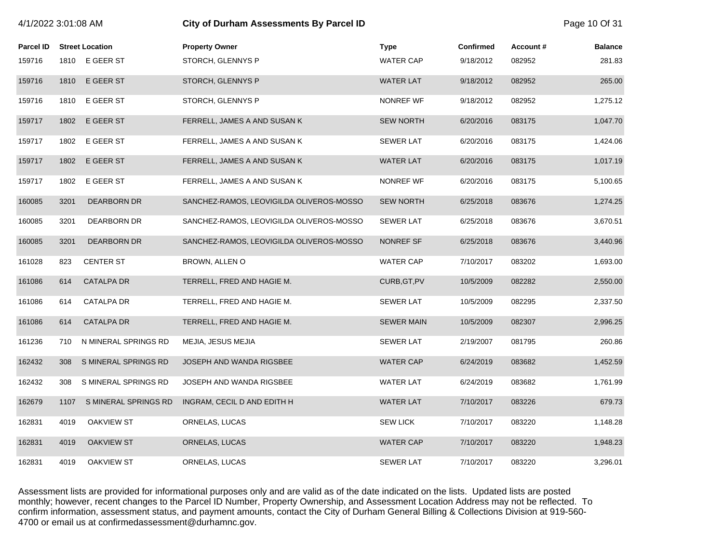| 4/1/2022 3:01:08 AM |      |                        | <b>City of Durham Assessments By Parcel ID</b> | Page 10 Of 31     |                  |          |                |
|---------------------|------|------------------------|------------------------------------------------|-------------------|------------------|----------|----------------|
| <b>Parcel ID</b>    |      | <b>Street Location</b> | <b>Property Owner</b>                          | <b>Type</b>       | <b>Confirmed</b> | Account# | <b>Balance</b> |
| 159716              | 1810 | E GEER ST              | STORCH, GLENNYS P                              | <b>WATER CAP</b>  | 9/18/2012        | 082952   | 281.83         |
| 159716              | 1810 | E GEER ST              | STORCH, GLENNYS P                              | <b>WATER LAT</b>  | 9/18/2012        | 082952   | 265.00         |
| 159716              | 1810 | E GEER ST              | STORCH, GLENNYS P                              | NONREF WF         | 9/18/2012        | 082952   | 1,275.12       |
| 159717              | 1802 | E GEER ST              | FERRELL, JAMES A AND SUSAN K                   | <b>SEW NORTH</b>  | 6/20/2016        | 083175   | 1,047.70       |
| 159717              | 1802 | E GEER ST              | FERRELL, JAMES A AND SUSAN K                   | <b>SEWER LAT</b>  | 6/20/2016        | 083175   | 1,424.06       |
| 159717              | 1802 | E GEER ST              | FERRELL, JAMES A AND SUSAN K                   | <b>WATER LAT</b>  | 6/20/2016        | 083175   | 1,017.19       |
| 159717              | 1802 | E GEER ST              | FERRELL, JAMES A AND SUSAN K                   | NONREF WF         | 6/20/2016        | 083175   | 5,100.65       |
| 160085              | 3201 | <b>DEARBORN DR</b>     | SANCHEZ-RAMOS, LEOVIGILDA OLIVEROS-MOSSO       | <b>SEW NORTH</b>  | 6/25/2018        | 083676   | 1,274.25       |
| 160085              | 3201 | <b>DEARBORN DR</b>     | SANCHEZ-RAMOS, LEOVIGILDA OLIVEROS-MOSSO       | <b>SEWER LAT</b>  | 6/25/2018        | 083676   | 3,670.51       |
| 160085              | 3201 | <b>DEARBORN DR</b>     | SANCHEZ-RAMOS, LEOVIGILDA OLIVEROS-MOSSO       | NONREF SF         | 6/25/2018        | 083676   | 3,440.96       |
| 161028              | 823  | <b>CENTER ST</b>       | BROWN, ALLEN O                                 | <b>WATER CAP</b>  | 7/10/2017        | 083202   | 1,693.00       |
| 161086              | 614  | <b>CATALPA DR</b>      | TERRELL, FRED AND HAGIE M.                     | CURB, GT, PV      | 10/5/2009        | 082282   | 2,550.00       |
| 161086              | 614  | <b>CATALPA DR</b>      | TERRELL, FRED AND HAGIE M.                     | <b>SEWER LAT</b>  | 10/5/2009        | 082295   | 2,337.50       |
| 161086              | 614  | <b>CATALPA DR</b>      | TERRELL, FRED AND HAGIE M.                     | <b>SEWER MAIN</b> | 10/5/2009        | 082307   | 2,996.25       |
| 161236              | 710  | N MINERAL SPRINGS RD   | MEJIA, JESUS MEJIA                             | <b>SEWER LAT</b>  | 2/19/2007        | 081795   | 260.86         |
| 162432              | 308  | S MINERAL SPRINGS RD   | JOSEPH AND WANDA RIGSBEE                       | WATER CAP         | 6/24/2019        | 083682   | 1,452.59       |
| 162432              | 308  | S MINERAL SPRINGS RD   | JOSEPH AND WANDA RIGSBEE                       | <b>WATER LAT</b>  | 6/24/2019        | 083682   | 1,761.99       |
| 162679              | 1107 | S MINERAL SPRINGS RD   | INGRAM, CECIL D AND EDITH H                    | <b>WATER LAT</b>  | 7/10/2017        | 083226   | 679.73         |
| 162831              | 4019 | OAKVIEW ST             | ORNELAS, LUCAS                                 | <b>SEW LICK</b>   | 7/10/2017        | 083220   | 1,148.28       |
| 162831              | 4019 | <b>OAKVIEW ST</b>      | ORNELAS, LUCAS                                 | <b>WATER CAP</b>  | 7/10/2017        | 083220   | 1,948.23       |
| 162831              | 4019 | <b>OAKVIEW ST</b>      | ORNELAS, LUCAS                                 | <b>SEWER LAT</b>  | 7/10/2017        | 083220   | 3,296.01       |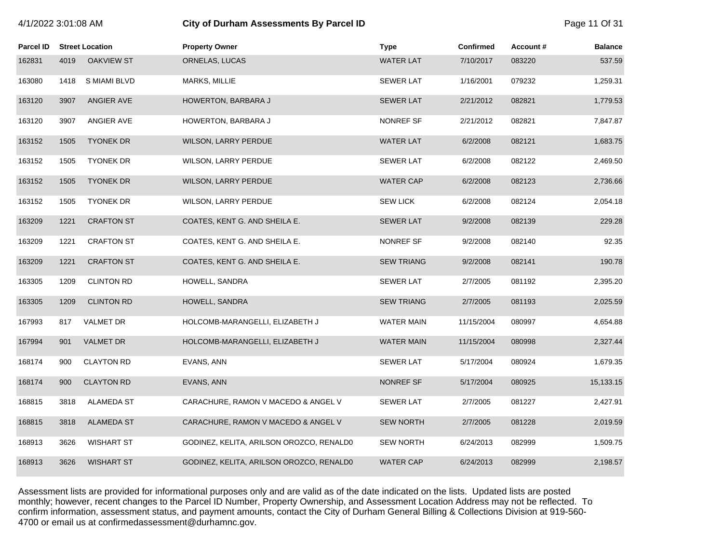# 4/1/2022 3:01:08 AM **City of Durham Assessments By Parcel ID** Page 11 Of 31

| <b>Parcel ID</b> |      | <b>Street Location</b> | <b>Property Owner</b>                    | <b>Type</b>       | <b>Confirmed</b> | Account# | <b>Balance</b> |
|------------------|------|------------------------|------------------------------------------|-------------------|------------------|----------|----------------|
| 162831           | 4019 | <b>OAKVIEW ST</b>      | ORNELAS, LUCAS                           | <b>WATER LAT</b>  | 7/10/2017        | 083220   | 537.59         |
| 163080           | 1418 | S MIAMI BLVD           | MARKS, MILLIE                            | <b>SEWER LAT</b>  | 1/16/2001        | 079232   | 1,259.31       |
| 163120           | 3907 | ANGIER AVE             | HOWERTON, BARBARA J                      | <b>SEWER LAT</b>  | 2/21/2012        | 082821   | 1,779.53       |
| 163120           | 3907 | ANGIER AVE             | HOWERTON, BARBARA J                      | NONREF SF         | 2/21/2012        | 082821   | 7,847.87       |
| 163152           | 1505 | <b>TYONEK DR</b>       | WILSON, LARRY PERDUE                     | <b>WATER LAT</b>  | 6/2/2008         | 082121   | 1,683.75       |
| 163152           | 1505 | <b>TYONEK DR</b>       | WILSON, LARRY PERDUE                     | <b>SEWER LAT</b>  | 6/2/2008         | 082122   | 2,469.50       |
| 163152           | 1505 | <b>TYONEK DR</b>       | WILSON, LARRY PERDUE                     | <b>WATER CAP</b>  | 6/2/2008         | 082123   | 2,736.66       |
| 163152           | 1505 | <b>TYONEK DR</b>       | WILSON, LARRY PERDUE                     | <b>SEW LICK</b>   | 6/2/2008         | 082124   | 2,054.18       |
| 163209           | 1221 | <b>CRAFTON ST</b>      | COATES, KENT G. AND SHEILA E.            | <b>SEWER LAT</b>  | 9/2/2008         | 082139   | 229.28         |
| 163209           | 1221 | <b>CRAFTON ST</b>      | COATES, KENT G. AND SHEILA E.            | NONREF SF         | 9/2/2008         | 082140   | 92.35          |
| 163209           | 1221 | <b>CRAFTON ST</b>      | COATES, KENT G. AND SHEILA E.            | <b>SEW TRIANG</b> | 9/2/2008         | 082141   | 190.78         |
| 163305           | 1209 | <b>CLINTON RD</b>      | HOWELL, SANDRA                           | <b>SEWER LAT</b>  | 2/7/2005         | 081192   | 2,395.20       |
| 163305           | 1209 | <b>CLINTON RD</b>      | HOWELL, SANDRA                           | <b>SEW TRIANG</b> | 2/7/2005         | 081193   | 2,025.59       |
| 167993           | 817  | <b>VALMET DR</b>       | HOLCOMB-MARANGELLI, ELIZABETH J          | <b>WATER MAIN</b> | 11/15/2004       | 080997   | 4,654.88       |
| 167994           | 901  | <b>VALMET DR</b>       | HOLCOMB-MARANGELLI, ELIZABETH J          | <b>WATER MAIN</b> | 11/15/2004       | 080998   | 2,327.44       |
| 168174           | 900  | <b>CLAYTON RD</b>      | EVANS, ANN                               | <b>SEWER LAT</b>  | 5/17/2004        | 080924   | 1,679.35       |
| 168174           | 900  | <b>CLAYTON RD</b>      | EVANS, ANN                               | NONREF SF         | 5/17/2004        | 080925   | 15,133.15      |
| 168815           | 3818 | ALAMEDA ST             | CARACHURE, RAMON V MACEDO & ANGEL V      | <b>SEWER LAT</b>  | 2/7/2005         | 081227   | 2,427.91       |
| 168815           | 3818 | <b>ALAMEDA ST</b>      | CARACHURE, RAMON V MACEDO & ANGEL V      | <b>SEW NORTH</b>  | 2/7/2005         | 081228   | 2,019.59       |
| 168913           | 3626 | <b>WISHART ST</b>      | GODINEZ, KELITA, ARILSON OROZCO, RENALDO | <b>SEW NORTH</b>  | 6/24/2013        | 082999   | 1,509.75       |
| 168913           | 3626 | <b>WISHART ST</b>      | GODINEZ, KELITA, ARILSON OROZCO, RENALD0 | <b>WATER CAP</b>  | 6/24/2013        | 082999   | 2,198.57       |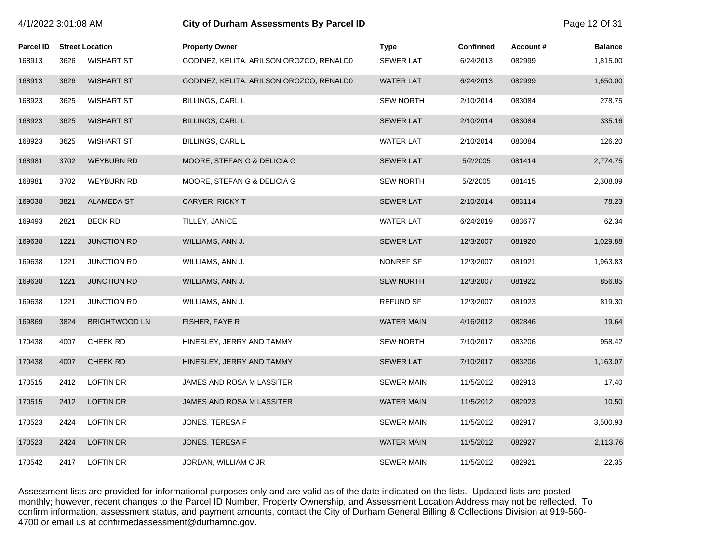| 4/1/2022 3:01:08 AM |      |                        | City of Durham Assessments By Parcel ID  |                   |                  |          |                |
|---------------------|------|------------------------|------------------------------------------|-------------------|------------------|----------|----------------|
| <b>Parcel ID</b>    |      | <b>Street Location</b> | <b>Property Owner</b>                    | <b>Type</b>       | <b>Confirmed</b> | Account# | <b>Balance</b> |
| 168913              | 3626 | <b>WISHART ST</b>      | GODINEZ, KELITA, ARILSON OROZCO, RENALD0 | <b>SEWER LAT</b>  | 6/24/2013        | 082999   | 1,815.00       |
| 168913              | 3626 | <b>WISHART ST</b>      | GODINEZ, KELITA, ARILSON OROZCO, RENALD0 | <b>WATER LAT</b>  | 6/24/2013        | 082999   | 1,650.00       |
| 168923              | 3625 | <b>WISHART ST</b>      | <b>BILLINGS, CARL L</b>                  | <b>SEW NORTH</b>  | 2/10/2014        | 083084   | 278.75         |
| 168923              | 3625 | <b>WISHART ST</b>      | BILLINGS, CARL L                         | <b>SEWER LAT</b>  | 2/10/2014        | 083084   | 335.16         |
| 168923              | 3625 | <b>WISHART ST</b>      | BILLINGS, CARL L                         | <b>WATER LAT</b>  | 2/10/2014        | 083084   | 126.20         |
| 168981              | 3702 | <b>WEYBURN RD</b>      | MOORE, STEFAN G & DELICIA G              | <b>SEWER LAT</b>  | 5/2/2005         | 081414   | 2,774.75       |
| 168981              | 3702 | <b>WEYBURN RD</b>      | MOORE, STEFAN G & DELICIA G              | <b>SEW NORTH</b>  | 5/2/2005         | 081415   | 2,308.09       |
| 169038              | 3821 | <b>ALAMEDA ST</b>      | <b>CARVER, RICKY T</b>                   | <b>SEWER LAT</b>  | 2/10/2014        | 083114   | 78.23          |
| 169493              | 2821 | <b>BECK RD</b>         | TILLEY, JANICE                           | <b>WATER LAT</b>  | 6/24/2019        | 083677   | 62.34          |
| 169638              | 1221 | <b>JUNCTION RD</b>     | WILLIAMS, ANN J.                         | <b>SEWER LAT</b>  | 12/3/2007        | 081920   | 1,029.88       |
| 169638              | 1221 | <b>JUNCTION RD</b>     | WILLIAMS, ANN J.                         | NONREF SF         | 12/3/2007        | 081921   | 1,963.83       |
| 169638              | 1221 | JUNCTION RD            | WILLIAMS, ANN J.                         | <b>SEW NORTH</b>  | 12/3/2007        | 081922   | 856.85         |
| 169638              | 1221 | <b>JUNCTION RD</b>     | WILLIAMS, ANN J.                         | <b>REFUND SF</b>  | 12/3/2007        | 081923   | 819.30         |
| 169869              | 3824 | <b>BRIGHTWOOD LN</b>   | FISHER, FAYE R                           | <b>WATER MAIN</b> | 4/16/2012        | 082846   | 19.64          |
| 170438              | 4007 | <b>CHEEK RD</b>        | HINESLEY, JERRY AND TAMMY                | <b>SEW NORTH</b>  | 7/10/2017        | 083206   | 958.42         |
| 170438              | 4007 | CHEEK RD               | HINESLEY, JERRY AND TAMMY                | <b>SEWER LAT</b>  | 7/10/2017        | 083206   | 1,163.07       |
| 170515              | 2412 | <b>LOFTIN DR</b>       | JAMES AND ROSA M LASSITER                | <b>SEWER MAIN</b> | 11/5/2012        | 082913   | 17.40          |
| 170515              | 2412 | <b>LOFTIN DR</b>       | JAMES AND ROSA M LASSITER                | <b>WATER MAIN</b> | 11/5/2012        | 082923   | 10.50          |
| 170523              | 2424 | LOFTIN DR              | JONES, TERESA F                          | <b>SEWER MAIN</b> | 11/5/2012        | 082917   | 3,500.93       |
| 170523              | 2424 | <b>LOFTIN DR</b>       | JONES, TERESA F                          | <b>WATER MAIN</b> | 11/5/2012        | 082927   | 2,113.76       |
| 170542              | 2417 | <b>LOFTIN DR</b>       | JORDAN, WILLIAM C JR                     | <b>SEWER MAIN</b> | 11/5/2012        | 082921   | 22.35          |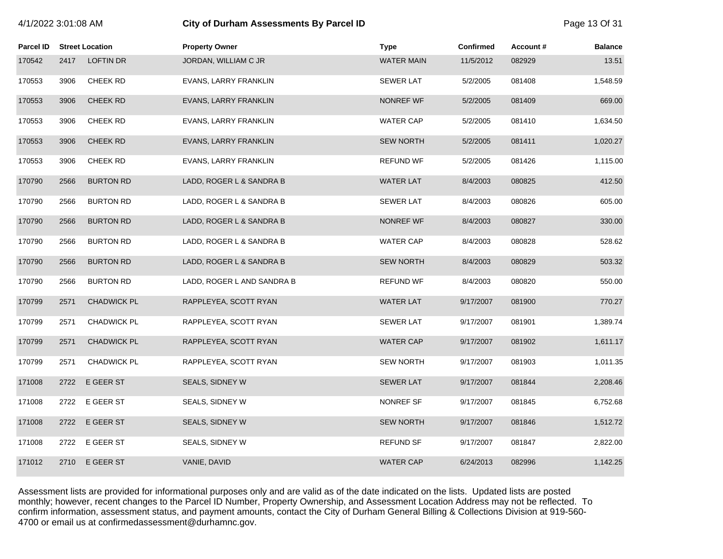# 4/1/2022 3:01:08 AM **City of Durham Assessments By Parcel ID** Page 13 Of 31

| <b>Parcel ID</b> |      | <b>Street Location</b> | <b>Property Owner</b>      | <b>Type</b>       | Confirmed | Account # | <b>Balance</b> |
|------------------|------|------------------------|----------------------------|-------------------|-----------|-----------|----------------|
| 170542           | 2417 | <b>LOFTIN DR</b>       | JORDAN, WILLIAM C JR       | <b>WATER MAIN</b> | 11/5/2012 | 082929    | 13.51          |
| 170553           | 3906 | CHEEK RD               | EVANS, LARRY FRANKLIN      | <b>SEWER LAT</b>  | 5/2/2005  | 081408    | 1,548.59       |
| 170553           | 3906 | CHEEK RD               | EVANS, LARRY FRANKLIN      | <b>NONREF WF</b>  | 5/2/2005  | 081409    | 669.00         |
| 170553           | 3906 | CHEEK RD               | EVANS, LARRY FRANKLIN      | <b>WATER CAP</b>  | 5/2/2005  | 081410    | 1,634.50       |
| 170553           | 3906 | <b>CHEEK RD</b>        | EVANS, LARRY FRANKLIN      | <b>SEW NORTH</b>  | 5/2/2005  | 081411    | 1,020.27       |
| 170553           | 3906 | CHEEK RD               | EVANS, LARRY FRANKLIN      | <b>REFUND WF</b>  | 5/2/2005  | 081426    | 1,115.00       |
| 170790           | 2566 | <b>BURTON RD</b>       | LADD, ROGER L & SANDRA B   | <b>WATER LAT</b>  | 8/4/2003  | 080825    | 412.50         |
| 170790           | 2566 | <b>BURTON RD</b>       | LADD, ROGER L & SANDRA B   | <b>SEWER LAT</b>  | 8/4/2003  | 080826    | 605.00         |
| 170790           | 2566 | <b>BURTON RD</b>       | LADD, ROGER L & SANDRA B   | NONREF WF         | 8/4/2003  | 080827    | 330.00         |
| 170790           | 2566 | <b>BURTON RD</b>       | LADD, ROGER L & SANDRA B   | <b>WATER CAP</b>  | 8/4/2003  | 080828    | 528.62         |
| 170790           | 2566 | <b>BURTON RD</b>       | LADD, ROGER L & SANDRA B   | <b>SEW NORTH</b>  | 8/4/2003  | 080829    | 503.32         |
| 170790           | 2566 | <b>BURTON RD</b>       | LADD, ROGER L AND SANDRA B | <b>REFUND WF</b>  | 8/4/2003  | 080820    | 550.00         |
| 170799           | 2571 | <b>CHADWICK PL</b>     | RAPPLEYEA, SCOTT RYAN      | <b>WATER LAT</b>  | 9/17/2007 | 081900    | 770.27         |
| 170799           | 2571 | CHADWICK PL            | RAPPLEYEA, SCOTT RYAN      | <b>SEWER LAT</b>  | 9/17/2007 | 081901    | 1,389.74       |
| 170799           | 2571 | <b>CHADWICK PL</b>     | RAPPLEYEA, SCOTT RYAN      | <b>WATER CAP</b>  | 9/17/2007 | 081902    | 1,611.17       |
| 170799           | 2571 | CHADWICK PL            | RAPPLEYEA, SCOTT RYAN      | <b>SEW NORTH</b>  | 9/17/2007 | 081903    | 1,011.35       |
| 171008           | 2722 | E GEER ST              | SEALS, SIDNEY W            | <b>SEWER LAT</b>  | 9/17/2007 | 081844    | 2,208.46       |
| 171008           | 2722 | E GEER ST              | SEALS, SIDNEY W            | NONREF SF         | 9/17/2007 | 081845    | 6,752.68       |
| 171008           | 2722 | E GEER ST              | SEALS, SIDNEY W            | <b>SEW NORTH</b>  | 9/17/2007 | 081846    | 1,512.72       |
| 171008           | 2722 | E GEER ST              | SEALS, SIDNEY W            | <b>REFUND SF</b>  | 9/17/2007 | 081847    | 2,822.00       |
| 171012           | 2710 | E GEER ST              | VANIE, DAVID               | <b>WATER CAP</b>  | 6/24/2013 | 082996    | 1,142.25       |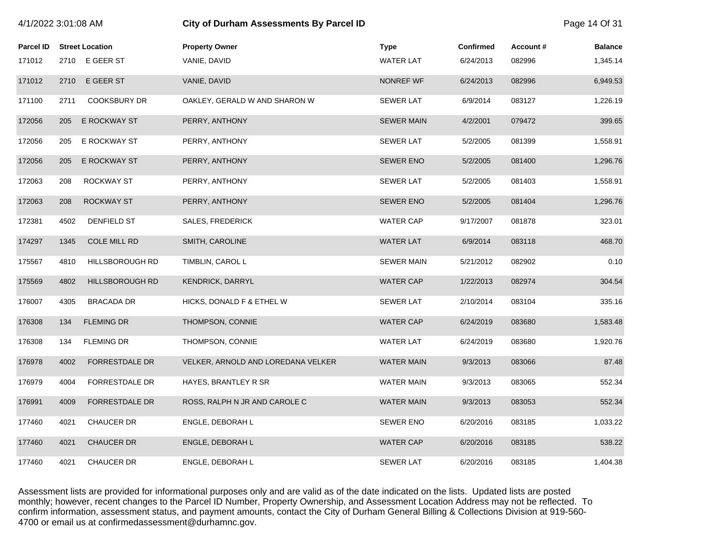| 4/1/2022 3:01:08 AM |      |                        | <b>City of Durham Assessments By Parcel ID</b> |                   |                  |          | Page 14 Of 31  |
|---------------------|------|------------------------|------------------------------------------------|-------------------|------------------|----------|----------------|
| <b>Parcel ID</b>    |      | <b>Street Location</b> | <b>Property Owner</b>                          | <b>Type</b>       | <b>Confirmed</b> | Account# | <b>Balance</b> |
| 171012              |      | 2710 E GEER ST         | VANIE, DAVID                                   | <b>WATER LAT</b>  | 6/24/2013        | 082996   | 1,345.14       |
| 171012              | 2710 | E GEER ST              | VANIE, DAVID                                   | NONREF WF         | 6/24/2013        | 082996   | 6,949.53       |
| 171100              | 2711 | <b>COOKSBURY DR</b>    | OAKLEY, GERALD W AND SHARON W                  | <b>SEWER LAT</b>  | 6/9/2014         | 083127   | 1,226.19       |
| 172056              | 205  | E ROCKWAY ST           | PERRY, ANTHONY                                 | <b>SEWER MAIN</b> | 4/2/2001         | 079472   | 399.65         |
| 172056              | 205  | E ROCKWAY ST           | PERRY, ANTHONY                                 | <b>SEWER LAT</b>  | 5/2/2005         | 081399   | 1,558.91       |
| 172056              | 205  | E ROCKWAY ST           | PERRY, ANTHONY                                 | <b>SEWER ENO</b>  | 5/2/2005         | 081400   | 1,296.76       |
| 172063              | 208  | ROCKWAY ST             | PERRY, ANTHONY                                 | <b>SEWER LAT</b>  | 5/2/2005         | 081403   | 1,558.91       |
| 172063              | 208  | <b>ROCKWAY ST</b>      | PERRY, ANTHONY                                 | <b>SEWER ENO</b>  | 5/2/2005         | 081404   | 1,296.76       |
| 172381              | 4502 | DENFIELD ST            | <b>SALES, FREDERICK</b>                        | <b>WATER CAP</b>  | 9/17/2007        | 081878   | 323.01         |
| 174297              | 1345 | <b>COLE MILL RD</b>    | SMITH, CAROLINE                                | <b>WATER LAT</b>  | 6/9/2014         | 083118   | 468.70         |
| 175567              | 4810 | HILLSBOROUGH RD        | TIMBLIN, CAROL L                               | <b>SEWER MAIN</b> | 5/21/2012        | 082902   | 0.10           |
| 175569              | 4802 | HILLSBOROUGH RD        | KENDRICK, DARRYL                               | <b>WATER CAP</b>  | 1/22/2013        | 082974   | 304.54         |
| 176007              | 4305 | <b>BRACADA DR</b>      | HICKS, DONALD F & ETHEL W                      | <b>SEWER LAT</b>  | 2/10/2014        | 083104   | 335.16         |
| 176308              | 134  | <b>FLEMING DR</b>      | THOMPSON, CONNIE                               | <b>WATER CAP</b>  | 6/24/2019        | 083680   | 1,583.48       |
| 176308              | 134  | <b>FLEMING DR</b>      | THOMPSON, CONNIE                               | <b>WATER LAT</b>  | 6/24/2019        | 083680   | 1,920.76       |
| 176978              | 4002 | <b>FORRESTDALE DR</b>  | VELKER, ARNOLD AND LOREDANA VELKER             | <b>WATER MAIN</b> | 9/3/2013         | 083066   | 87.48          |
| 176979              | 4004 | FORRESTDALE DR         | HAYES, BRANTLEY R SR                           | <b>WATER MAIN</b> | 9/3/2013         | 083065   | 552.34         |
| 176991              | 4009 | <b>FORRESTDALE DR</b>  | ROSS, RALPH N JR AND CAROLE C                  | <b>WATER MAIN</b> | 9/3/2013         | 083053   | 552.34         |
| 177460              | 4021 | CHAUCER DR             | ENGLE, DEBORAH L                               | <b>SEWER ENO</b>  | 6/20/2016        | 083185   | 1,033.22       |
| 177460              | 4021 | <b>CHAUCER DR</b>      | ENGLE, DEBORAH L                               | <b>WATER CAP</b>  | 6/20/2016        | 083185   | 538.22         |
| 177460              | 4021 | <b>CHAUCER DR</b>      | ENGLE, DEBORAH L                               | <b>SEWER LAT</b>  | 6/20/2016        | 083185   | 1,404.38       |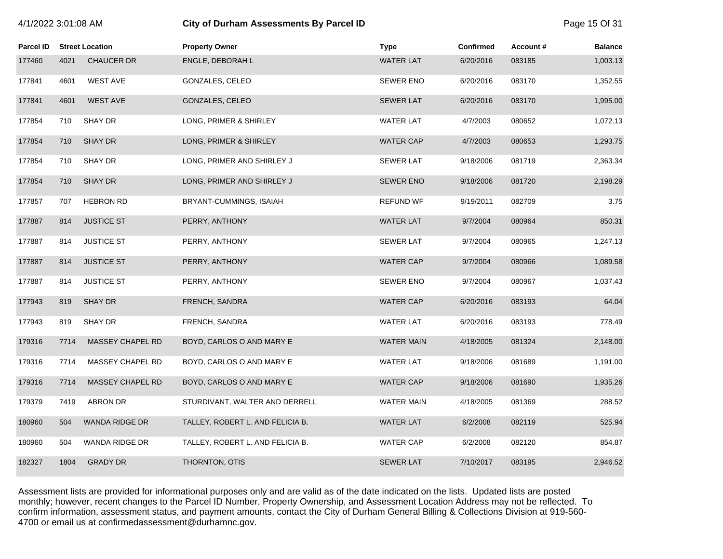# 4/1/2022 3:01:08 AM **City of Durham Assessments By Parcel ID** Page 15 Of 31

| Parcel ID |      | <b>Street Location</b> | <b>Property Owner</b>            | <b>Type</b>       | <b>Confirmed</b> | Account# | <b>Balance</b> |
|-----------|------|------------------------|----------------------------------|-------------------|------------------|----------|----------------|
| 177460    | 4021 | <b>CHAUCER DR</b>      | ENGLE, DEBORAH L                 | <b>WATER LAT</b>  | 6/20/2016        | 083185   | 1,003.13       |
| 177841    | 4601 | <b>WEST AVE</b>        | GONZALES, CELEO                  | <b>SEWER ENO</b>  | 6/20/2016        | 083170   | 1,352.55       |
| 177841    | 4601 | <b>WEST AVE</b>        | GONZALES, CELEO                  | <b>SEWER LAT</b>  | 6/20/2016        | 083170   | 1,995.00       |
| 177854    | 710  | SHAY DR                | LONG, PRIMER & SHIRLEY           | <b>WATER LAT</b>  | 4/7/2003         | 080652   | 1,072.13       |
| 177854    | 710  | <b>SHAY DR</b>         | LONG, PRIMER & SHIRLEY           | <b>WATER CAP</b>  | 4/7/2003         | 080653   | 1,293.75       |
| 177854    | 710  | SHAY DR                | LONG, PRIMER AND SHIRLEY J       | <b>SEWER LAT</b>  | 9/18/2006        | 081719   | 2,363.34       |
| 177854    | 710  | <b>SHAY DR</b>         | LONG, PRIMER AND SHIRLEY J       | <b>SEWER ENO</b>  | 9/18/2006        | 081720   | 2,198.29       |
| 177857    | 707  | <b>HEBRON RD</b>       | BRYANT-CUMMINGS, ISAIAH          | <b>REFUND WF</b>  | 9/19/2011        | 082709   | 3.75           |
| 177887    | 814  | <b>JUSTICE ST</b>      | PERRY, ANTHONY                   | <b>WATER LAT</b>  | 9/7/2004         | 080964   | 850.31         |
| 177887    | 814  | <b>JUSTICE ST</b>      | PERRY, ANTHONY                   | <b>SEWER LAT</b>  | 9/7/2004         | 080965   | 1,247.13       |
| 177887    | 814  | <b>JUSTICE ST</b>      | PERRY, ANTHONY                   | <b>WATER CAP</b>  | 9/7/2004         | 080966   | 1,089.58       |
| 177887    | 814  | <b>JUSTICE ST</b>      | PERRY, ANTHONY                   | <b>SEWER ENO</b>  | 9/7/2004         | 080967   | 1,037.43       |
| 177943    | 819  | <b>SHAY DR</b>         | FRENCH, SANDRA                   | <b>WATER CAP</b>  | 6/20/2016        | 083193   | 64.04          |
| 177943    | 819  | SHAY DR                | FRENCH, SANDRA                   | <b>WATER LAT</b>  | 6/20/2016        | 083193   | 778.49         |
| 179316    | 7714 | MASSEY CHAPEL RD       | BOYD, CARLOS O AND MARY E        | <b>WATER MAIN</b> | 4/18/2005        | 081324   | 2,148.00       |
| 179316    | 7714 | MASSEY CHAPEL RD       | BOYD, CARLOS O AND MARY E        | <b>WATER LAT</b>  | 9/18/2006        | 081689   | 1,191.00       |
| 179316    | 7714 | MASSEY CHAPEL RD       | BOYD, CARLOS O AND MARY E        | <b>WATER CAP</b>  | 9/18/2006        | 081690   | 1,935.26       |
| 179379    | 7419 | <b>ABRON DR</b>        | STURDIVANT, WALTER AND DERRELL   | <b>WATER MAIN</b> | 4/18/2005        | 081369   | 288.52         |
| 180960    | 504  | WANDA RIDGE DR         | TALLEY, ROBERT L. AND FELICIA B. | <b>WATER LAT</b>  | 6/2/2008         | 082119   | 525.94         |
| 180960    | 504  | WANDA RIDGE DR         | TALLEY, ROBERT L. AND FELICIA B. | <b>WATER CAP</b>  | 6/2/2008         | 082120   | 854.87         |
| 182327    | 1804 | <b>GRADY DR</b>        | THORNTON, OTIS                   | <b>SEWER LAT</b>  | 7/10/2017        | 083195   | 2,946.52       |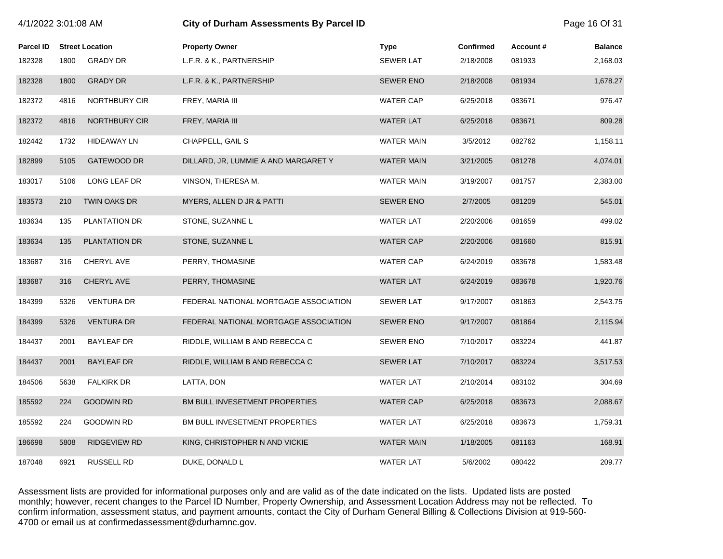| 4/1/2022 3:01:08 AM |      |                        | City of Durham Assessments By Parcel ID |                   |                  |          |                |
|---------------------|------|------------------------|-----------------------------------------|-------------------|------------------|----------|----------------|
| <b>Parcel ID</b>    |      | <b>Street Location</b> | <b>Property Owner</b>                   | <b>Type</b>       | <b>Confirmed</b> | Account# | <b>Balance</b> |
| 182328              | 1800 | <b>GRADY DR</b>        | L.F.R. & K., PARTNERSHIP                | <b>SEWER LAT</b>  | 2/18/2008        | 081933   | 2,168.03       |
| 182328              | 1800 | <b>GRADY DR</b>        | L.F.R. & K., PARTNERSHIP                | <b>SEWER ENO</b>  | 2/18/2008        | 081934   | 1,678.27       |
| 182372              | 4816 | NORTHBURY CIR          | FREY, MARIA III                         | <b>WATER CAP</b>  | 6/25/2018        | 083671   | 976.47         |
| 182372              | 4816 | NORTHBURY CIR          | FREY, MARIA III                         | <b>WATER LAT</b>  | 6/25/2018        | 083671   | 809.28         |
| 182442              | 1732 | <b>HIDEAWAY LN</b>     | CHAPPELL, GAIL S                        | <b>WATER MAIN</b> | 3/5/2012         | 082762   | 1,158.11       |
| 182899              | 5105 | <b>GATEWOOD DR</b>     | DILLARD, JR, LUMMIE A AND MARGARET Y    | <b>WATER MAIN</b> | 3/21/2005        | 081278   | 4,074.01       |
| 183017              | 5106 | LONG LEAF DR           | VINSON, THERESA M.                      | <b>WATER MAIN</b> | 3/19/2007        | 081757   | 2,383.00       |
| 183573              | 210  | <b>TWIN OAKS DR</b>    | MYERS, ALLEN D JR & PATTI               | <b>SEWER ENO</b>  | 2/7/2005         | 081209   | 545.01         |
| 183634              | 135  | PLANTATION DR          | STONE, SUZANNE L                        | <b>WATER LAT</b>  | 2/20/2006        | 081659   | 499.02         |
| 183634              | 135  | PLANTATION DR          | STONE, SUZANNE L                        | <b>WATER CAP</b>  | 2/20/2006        | 081660   | 815.91         |
| 183687              | 316  | CHERYL AVE             | PERRY, THOMASINE                        | <b>WATER CAP</b>  | 6/24/2019        | 083678   | 1,583.48       |
| 183687              | 316  | CHERYL AVE             | PERRY, THOMASINE                        | <b>WATER LAT</b>  | 6/24/2019        | 083678   | 1,920.76       |
| 184399              | 5326 | <b>VENTURA DR</b>      | FEDERAL NATIONAL MORTGAGE ASSOCIATION   | <b>SEWER LAT</b>  | 9/17/2007        | 081863   | 2,543.75       |
| 184399              | 5326 | <b>VENTURA DR</b>      | FEDERAL NATIONAL MORTGAGE ASSOCIATION   | <b>SEWER ENO</b>  | 9/17/2007        | 081864   | 2,115.94       |
| 184437              | 2001 | <b>BAYLEAF DR</b>      | RIDDLE, WILLIAM B AND REBECCA C         | <b>SEWER ENO</b>  | 7/10/2017        | 083224   | 441.87         |
| 184437              | 2001 | <b>BAYLEAF DR</b>      | RIDDLE, WILLIAM B AND REBECCA C         | <b>SEWER LAT</b>  | 7/10/2017        | 083224   | 3,517.53       |
| 184506              | 5638 | <b>FALKIRK DR</b>      | LATTA, DON                              | <b>WATER LAT</b>  | 2/10/2014        | 083102   | 304.69         |
| 185592              | 224  | <b>GOODWIN RD</b>      | BM BULL INVESETMENT PROPERTIES          | <b>WATER CAP</b>  | 6/25/2018        | 083673   | 2,088.67       |
| 185592              | 224  | <b>GOODWIN RD</b>      | BM BULL INVESETMENT PROPERTIES          | <b>WATER LAT</b>  | 6/25/2018        | 083673   | 1,759.31       |
| 186698              | 5808 | <b>RIDGEVIEW RD</b>    | KING, CHRISTOPHER N AND VICKIE          | <b>WATER MAIN</b> | 1/18/2005        | 081163   | 168.91         |
| 187048              | 6921 | <b>RUSSELL RD</b>      | DUKE, DONALD L                          | <b>WATER LAT</b>  | 5/6/2002         | 080422   | 209.77         |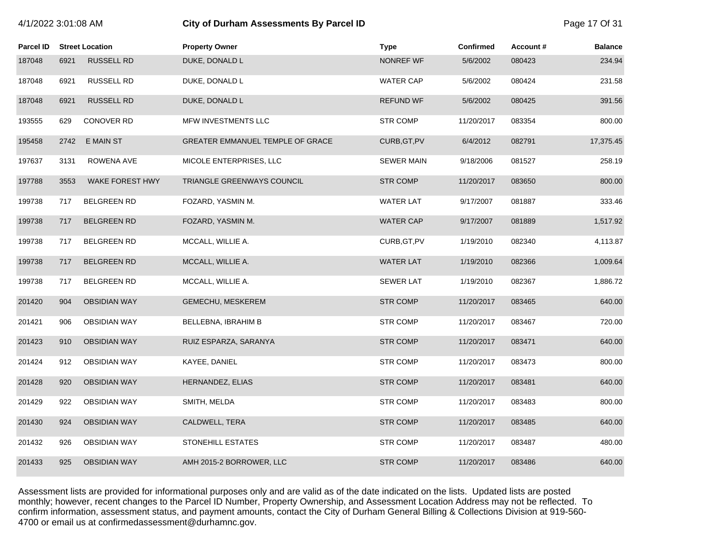# 4/1/2022 3:01:08 AM **City of Durham Assessments By Parcel ID** Page 17 Of 31

| Parcel ID |      | <b>Street Location</b> | <b>Property Owner</b>            | <b>Type</b>       | Confirmed  | Account# | <b>Balance</b> |
|-----------|------|------------------------|----------------------------------|-------------------|------------|----------|----------------|
| 187048    | 6921 | <b>RUSSELL RD</b>      | DUKE, DONALD L                   | NONREF WF         | 5/6/2002   | 080423   | 234.94         |
| 187048    | 6921 | RUSSELL RD             | DUKE, DONALD L                   | WATER CAP         | 5/6/2002   | 080424   | 231.58         |
| 187048    | 6921 | <b>RUSSELL RD</b>      | DUKE, DONALD L                   | <b>REFUND WF</b>  | 5/6/2002   | 080425   | 391.56         |
| 193555    | 629  | CONOVER RD             | MFW INVESTMENTS LLC              | <b>STR COMP</b>   | 11/20/2017 | 083354   | 800.00         |
| 195458    | 2742 | E MAIN ST              | GREATER EMMANUEL TEMPLE OF GRACE | CURB, GT, PV      | 6/4/2012   | 082791   | 17,375.45      |
| 197637    | 3131 | ROWENA AVE             | MICOLE ENTERPRISES, LLC          | <b>SEWER MAIN</b> | 9/18/2006  | 081527   | 258.19         |
| 197788    | 3553 | WAKE FOREST HWY        | TRIANGLE GREENWAYS COUNCIL       | <b>STR COMP</b>   | 11/20/2017 | 083650   | 800.00         |
| 199738    | 717  | <b>BELGREEN RD</b>     | FOZARD, YASMIN M.                | <b>WATER LAT</b>  | 9/17/2007  | 081887   | 333.46         |
| 199738    | 717  | <b>BELGREEN RD</b>     | FOZARD, YASMIN M.                | <b>WATER CAP</b>  | 9/17/2007  | 081889   | 1,517.92       |
| 199738    | 717  | <b>BELGREEN RD</b>     | MCCALL, WILLIE A.                | CURB, GT, PV      | 1/19/2010  | 082340   | 4,113.87       |
| 199738    | 717  | <b>BELGREEN RD</b>     | MCCALL, WILLIE A.                | <b>WATER LAT</b>  | 1/19/2010  | 082366   | 1,009.64       |
| 199738    | 717  | BELGREEN RD            | MCCALL, WILLIE A.                | <b>SEWER LAT</b>  | 1/19/2010  | 082367   | 1,886.72       |
| 201420    | 904  | <b>OBSIDIAN WAY</b>    | GEMECHU, MESKEREM                | <b>STR COMP</b>   | 11/20/2017 | 083465   | 640.00         |
| 201421    | 906  | <b>OBSIDIAN WAY</b>    | BELLEBNA, IBRAHIM B              | <b>STR COMP</b>   | 11/20/2017 | 083467   | 720.00         |
| 201423    | 910  | <b>OBSIDIAN WAY</b>    | RUIZ ESPARZA, SARANYA            | <b>STR COMP</b>   | 11/20/2017 | 083471   | 640.00         |
| 201424    | 912  | <b>OBSIDIAN WAY</b>    | KAYEE, DANIEL                    | <b>STR COMP</b>   | 11/20/2017 | 083473   | 800.00         |
| 201428    | 920  | <b>OBSIDIAN WAY</b>    | HERNANDEZ, ELIAS                 | <b>STR COMP</b>   | 11/20/2017 | 083481   | 640.00         |
| 201429    | 922  | <b>OBSIDIAN WAY</b>    | SMITH, MELDA                     | <b>STR COMP</b>   | 11/20/2017 | 083483   | 800.00         |
| 201430    | 924  | <b>OBSIDIAN WAY</b>    | CALDWELL, TERA                   | <b>STR COMP</b>   | 11/20/2017 | 083485   | 640.00         |
| 201432    | 926  | <b>OBSIDIAN WAY</b>    | STONEHILL ESTATES                | <b>STR COMP</b>   | 11/20/2017 | 083487   | 480.00         |
| 201433    | 925  | <b>OBSIDIAN WAY</b>    | AMH 2015-2 BORROWER, LLC         | <b>STR COMP</b>   | 11/20/2017 | 083486   | 640.00         |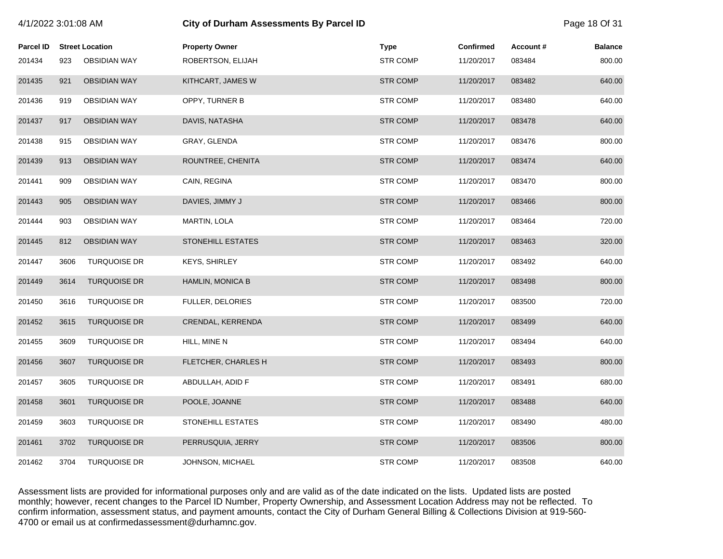| 4/1/2022 3:01:08 AM |      |                        | <b>City of Durham Assessments By Parcel ID</b> |  |                 |                  |          | Page 18 Of 31  |  |
|---------------------|------|------------------------|------------------------------------------------|--|-----------------|------------------|----------|----------------|--|
| <b>Parcel ID</b>    |      | <b>Street Location</b> | <b>Property Owner</b>                          |  | <b>Type</b>     | <b>Confirmed</b> | Account# | <b>Balance</b> |  |
| 201434              | 923  | <b>OBSIDIAN WAY</b>    | ROBERTSON, ELIJAH                              |  | <b>STR COMP</b> | 11/20/2017       | 083484   | 800.00         |  |
| 201435              | 921  | <b>OBSIDIAN WAY</b>    | KITHCART, JAMES W                              |  | <b>STR COMP</b> | 11/20/2017       | 083482   | 640.00         |  |
| 201436              | 919  | <b>OBSIDIAN WAY</b>    | OPPY, TURNER B                                 |  | <b>STR COMP</b> | 11/20/2017       | 083480   | 640.00         |  |
| 201437              | 917  | <b>OBSIDIAN WAY</b>    | DAVIS, NATASHA                                 |  | <b>STR COMP</b> | 11/20/2017       | 083478   | 640.00         |  |
| 201438              | 915  | <b>OBSIDIAN WAY</b>    | GRAY, GLENDA                                   |  | <b>STR COMP</b> | 11/20/2017       | 083476   | 800.00         |  |
| 201439              | 913  | <b>OBSIDIAN WAY</b>    | ROUNTREE, CHENITA                              |  | <b>STR COMP</b> | 11/20/2017       | 083474   | 640.00         |  |
| 201441              | 909  | <b>OBSIDIAN WAY</b>    | CAIN, REGINA                                   |  | <b>STR COMP</b> | 11/20/2017       | 083470   | 800.00         |  |
| 201443              | 905  | <b>OBSIDIAN WAY</b>    | DAVIES, JIMMY J                                |  | <b>STR COMP</b> | 11/20/2017       | 083466   | 800.00         |  |
| 201444              | 903  | <b>OBSIDIAN WAY</b>    | MARTIN, LOLA                                   |  | <b>STR COMP</b> | 11/20/2017       | 083464   | 720.00         |  |
| 201445              | 812  | <b>OBSIDIAN WAY</b>    | <b>STONEHILL ESTATES</b>                       |  | <b>STR COMP</b> | 11/20/2017       | 083463   | 320.00         |  |
| 201447              | 3606 | <b>TURQUOISE DR</b>    | <b>KEYS, SHIRLEY</b>                           |  | <b>STR COMP</b> | 11/20/2017       | 083492   | 640.00         |  |
| 201449              | 3614 | <b>TURQUOISE DR</b>    | <b>HAMLIN, MONICA B</b>                        |  | <b>STR COMP</b> | 11/20/2017       | 083498   | 800.00         |  |
| 201450              | 3616 | <b>TURQUOISE DR</b>    | <b>FULLER, DELORIES</b>                        |  | <b>STR COMP</b> | 11/20/2017       | 083500   | 720.00         |  |
| 201452              | 3615 | <b>TURQUOISE DR</b>    | CRENDAL, KERRENDA                              |  | <b>STR COMP</b> | 11/20/2017       | 083499   | 640.00         |  |
| 201455              | 3609 | <b>TURQUOISE DR</b>    | HILL, MINE N                                   |  | <b>STR COMP</b> | 11/20/2017       | 083494   | 640.00         |  |
| 201456              | 3607 | <b>TURQUOISE DR</b>    | <b>FLETCHER, CHARLES H</b>                     |  | <b>STR COMP</b> | 11/20/2017       | 083493   | 800.00         |  |
| 201457              | 3605 | <b>TURQUOISE DR</b>    | ABDULLAH, ADID F                               |  | <b>STR COMP</b> | 11/20/2017       | 083491   | 680.00         |  |
| 201458              | 3601 | <b>TURQUOISE DR</b>    | POOLE, JOANNE                                  |  | <b>STR COMP</b> | 11/20/2017       | 083488   | 640.00         |  |
| 201459              | 3603 | <b>TURQUOISE DR</b>    | STONEHILL ESTATES                              |  | <b>STR COMP</b> | 11/20/2017       | 083490   | 480.00         |  |
| 201461              | 3702 | <b>TURQUOISE DR</b>    | PERRUSQUIA, JERRY                              |  | <b>STR COMP</b> | 11/20/2017       | 083506   | 800.00         |  |
| 201462              | 3704 | <b>TURQUOISE DR</b>    | JOHNSON, MICHAEL                               |  | <b>STR COMP</b> | 11/20/2017       | 083508   | 640.00         |  |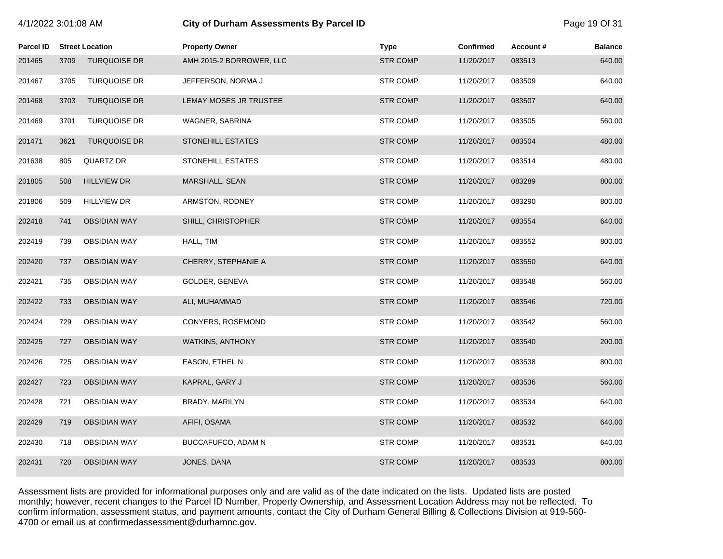| 4/1/2022 3:01:08 AM |      |                        |                          | City of Durham Assessments By Parcel ID |                  |          |                |  |
|---------------------|------|------------------------|--------------------------|-----------------------------------------|------------------|----------|----------------|--|
| <b>Parcel ID</b>    |      | <b>Street Location</b> | <b>Property Owner</b>    | <b>Type</b>                             | <b>Confirmed</b> | Account# | <b>Balance</b> |  |
| 201465              | 3709 | <b>TURQUOISE DR</b>    | AMH 2015-2 BORROWER, LLC | <b>STR COMP</b>                         | 11/20/2017       | 083513   | 640.00         |  |
| 201467              | 3705 | <b>TURQUOISE DR</b>    | JEFFERSON, NORMA J       | <b>STR COMP</b>                         | 11/20/2017       | 083509   | 640.00         |  |
| 201468              | 3703 | <b>TURQUOISE DR</b>    | LEMAY MOSES JR TRUSTEE   | <b>STR COMP</b>                         | 11/20/2017       | 083507   | 640.00         |  |
| 201469              | 3701 | <b>TURQUOISE DR</b>    | WAGNER, SABRINA          | <b>STR COMP</b>                         | 11/20/2017       | 083505   | 560.00         |  |
| 201471              | 3621 | <b>TURQUOISE DR</b>    | <b>STONEHILL ESTATES</b> | <b>STR COMP</b>                         | 11/20/2017       | 083504   | 480.00         |  |
| 201638              | 805  | QUARTZ DR              | <b>STONEHILL ESTATES</b> | <b>STR COMP</b>                         | 11/20/2017       | 083514   | 480.00         |  |
| 201805              | 508  | <b>HILLVIEW DR</b>     | MARSHALL, SEAN           | <b>STR COMP</b>                         | 11/20/2017       | 083289   | 800.00         |  |
| 201806              | 509  | <b>HILLVIEW DR</b>     | ARMSTON, RODNEY          | <b>STR COMP</b>                         | 11/20/2017       | 083290   | 800.00         |  |
| 202418              | 741  | <b>OBSIDIAN WAY</b>    | SHILL, CHRISTOPHER       | <b>STR COMP</b>                         | 11/20/2017       | 083554   | 640.00         |  |
| 202419              | 739  | <b>OBSIDIAN WAY</b>    | HALL, TIM                | STR COMP                                | 11/20/2017       | 083552   | 800.00         |  |
| 202420              | 737  | <b>OBSIDIAN WAY</b>    | CHERRY, STEPHANIE A      | <b>STR COMP</b>                         | 11/20/2017       | 083550   | 640.00         |  |
| 202421              | 735  | <b>OBSIDIAN WAY</b>    | GOLDER, GENEVA           | <b>STR COMP</b>                         | 11/20/2017       | 083548   | 560.00         |  |
| 202422              | 733  | <b>OBSIDIAN WAY</b>    | ALI, MUHAMMAD            | <b>STR COMP</b>                         | 11/20/2017       | 083546   | 720.00         |  |
| 202424              | 729  | <b>OBSIDIAN WAY</b>    | CONYERS, ROSEMOND        | <b>STR COMP</b>                         | 11/20/2017       | 083542   | 560.00         |  |
| 202425              | 727  | <b>OBSIDIAN WAY</b>    | <b>WATKINS, ANTHONY</b>  | <b>STR COMP</b>                         | 11/20/2017       | 083540   | 200.00         |  |
| 202426              | 725  | <b>OBSIDIAN WAY</b>    | EASON, ETHEL N           | <b>STR COMP</b>                         | 11/20/2017       | 083538   | 800.00         |  |
| 202427              | 723  | <b>OBSIDIAN WAY</b>    | KAPRAL, GARY J           | <b>STR COMP</b>                         | 11/20/2017       | 083536   | 560.00         |  |
| 202428              | 721  | <b>OBSIDIAN WAY</b>    | BRADY, MARILYN           | <b>STR COMP</b>                         | 11/20/2017       | 083534   | 640.00         |  |
| 202429              | 719  | <b>OBSIDIAN WAY</b>    | AFIFI, OSAMA             | <b>STR COMP</b>                         | 11/20/2017       | 083532   | 640.00         |  |
| 202430              | 718  | <b>OBSIDIAN WAY</b>    | BUCCAFUFCO, ADAM N       | <b>STR COMP</b>                         | 11/20/2017       | 083531   | 640.00         |  |
| 202431              | 720  | <b>OBSIDIAN WAY</b>    | JONES, DANA              | <b>STR COMP</b>                         | 11/20/2017       | 083533   | 800.00         |  |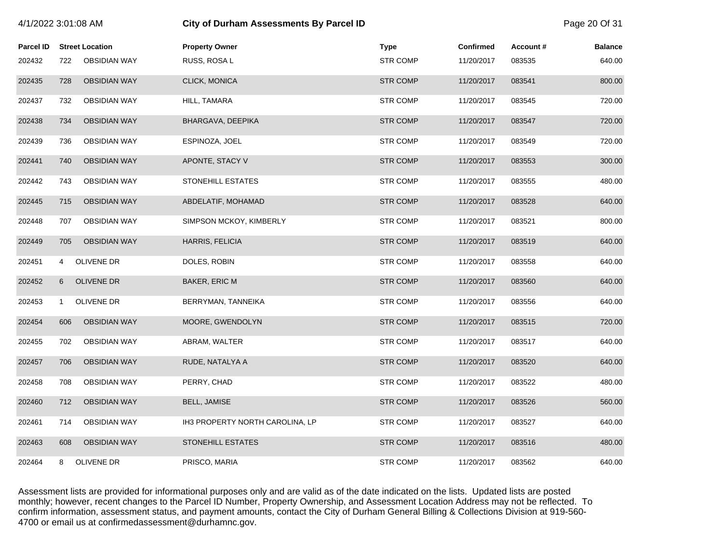| 4/1/2022 3:01:08 AM |              |                        | <b>City of Durham Assessments By Parcel ID</b> |                 |                  |          |                |
|---------------------|--------------|------------------------|------------------------------------------------|-----------------|------------------|----------|----------------|
| <b>Parcel ID</b>    |              | <b>Street Location</b> | <b>Property Owner</b>                          | <b>Type</b>     | <b>Confirmed</b> | Account# | <b>Balance</b> |
| 202432              | 722          | <b>OBSIDIAN WAY</b>    | RUSS, ROSA L                                   | <b>STR COMP</b> | 11/20/2017       | 083535   | 640.00         |
| 202435              | 728          | <b>OBSIDIAN WAY</b>    | CLICK, MONICA                                  | <b>STR COMP</b> | 11/20/2017       | 083541   | 800.00         |
| 202437              | 732          | <b>OBSIDIAN WAY</b>    | HILL, TAMARA                                   | <b>STR COMP</b> | 11/20/2017       | 083545   | 720.00         |
| 202438              | 734          | <b>OBSIDIAN WAY</b>    | BHARGAVA, DEEPIKA                              | <b>STR COMP</b> | 11/20/2017       | 083547   | 720.00         |
| 202439              | 736          | OBSIDIAN WAY           | ESPINOZA, JOEL                                 | <b>STR COMP</b> | 11/20/2017       | 083549   | 720.00         |
| 202441              | 740          | <b>OBSIDIAN WAY</b>    | APONTE, STACY V                                | <b>STR COMP</b> | 11/20/2017       | 083553   | 300.00         |
| 202442              | 743          | <b>OBSIDIAN WAY</b>    | STONEHILL ESTATES                              | <b>STR COMP</b> | 11/20/2017       | 083555   | 480.00         |
| 202445              | 715          | <b>OBSIDIAN WAY</b>    | ABDELATIF, MOHAMAD                             | <b>STR COMP</b> | 11/20/2017       | 083528   | 640.00         |
| 202448              | 707          | <b>OBSIDIAN WAY</b>    | SIMPSON MCKOY, KIMBERLY                        | <b>STR COMP</b> | 11/20/2017       | 083521   | 800.00         |
| 202449              | 705          | <b>OBSIDIAN WAY</b>    | HARRIS, FELICIA                                | <b>STR COMP</b> | 11/20/2017       | 083519   | 640.00         |
| 202451              | 4            | OLIVENE DR             | DOLES, ROBIN                                   | <b>STR COMP</b> | 11/20/2017       | 083558   | 640.00         |
| 202452              | 6            | OLIVENE DR             | BAKER, ERIC M                                  | <b>STR COMP</b> | 11/20/2017       | 083560   | 640.00         |
| 202453              | $\mathbf{1}$ | OLIVENE DR             | BERRYMAN, TANNEIKA                             | <b>STR COMP</b> | 11/20/2017       | 083556   | 640.00         |
| 202454              | 606          | <b>OBSIDIAN WAY</b>    | MOORE, GWENDOLYN                               | <b>STR COMP</b> | 11/20/2017       | 083515   | 720.00         |
| 202455              | 702          | <b>OBSIDIAN WAY</b>    | ABRAM, WALTER                                  | <b>STR COMP</b> | 11/20/2017       | 083517   | 640.00         |
| 202457              | 706          | <b>OBSIDIAN WAY</b>    | RUDE, NATALYA A                                | <b>STR COMP</b> | 11/20/2017       | 083520   | 640.00         |
| 202458              | 708          | <b>OBSIDIAN WAY</b>    | PERRY, CHAD                                    | <b>STR COMP</b> | 11/20/2017       | 083522   | 480.00         |
| 202460              | 712          | <b>OBSIDIAN WAY</b>    | <b>BELL, JAMISE</b>                            | <b>STR COMP</b> | 11/20/2017       | 083526   | 560.00         |
| 202461              | 714          | <b>OBSIDIAN WAY</b>    | IH3 PROPERTY NORTH CAROLINA, LP                | <b>STR COMP</b> | 11/20/2017       | 083527   | 640.00         |
| 202463              | 608          | <b>OBSIDIAN WAY</b>    | <b>STONEHILL ESTATES</b>                       | <b>STR COMP</b> | 11/20/2017       | 083516   | 480.00         |
| 202464              | 8            | OLIVENE DR             | PRISCO, MARIA                                  | <b>STR COMP</b> | 11/20/2017       | 083562   | 640.00         |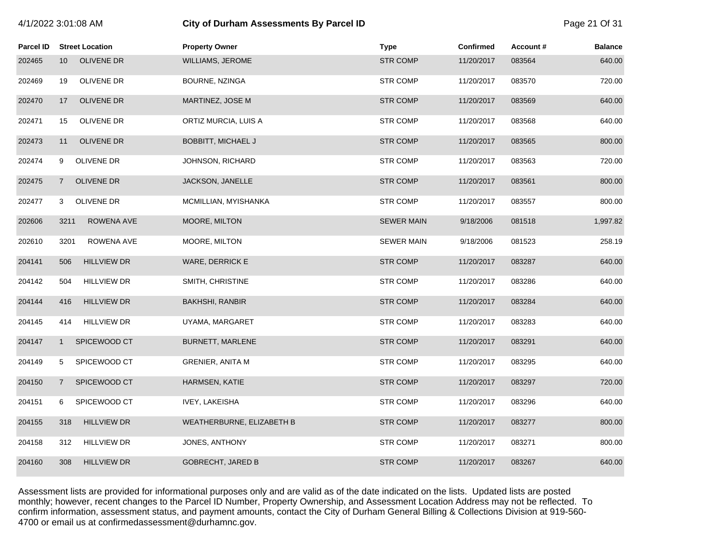|  | 4/1/2022 3:01:08 AM |  |  |  |
|--|---------------------|--|--|--|
|--|---------------------|--|--|--|

# **City of Durham Assessments By Parcel ID**  Page 21 Of 31

| Parcel ID | <b>Street Location</b>               | <b>Property Owner</b>     | <b>Type</b>       | <b>Confirmed</b> | Account# | <b>Balance</b> |
|-----------|--------------------------------------|---------------------------|-------------------|------------------|----------|----------------|
| 202465    | <b>OLIVENE DR</b><br>10 <sup>1</sup> | WILLIAMS, JEROME          | <b>STR COMP</b>   | 11/20/2017       | 083564   | 640.00         |
| 202469    | OLIVENE DR<br>19                     | BOURNE, NZINGA            | <b>STR COMP</b>   | 11/20/2017       | 083570   | 720.00         |
| 202470    | 17<br><b>OLIVENE DR</b>              | MARTINEZ, JOSE M          | <b>STR COMP</b>   | 11/20/2017       | 083569   | 640.00         |
| 202471    | <b>OLIVENE DR</b><br>15              | ORTIZ MURCIA, LUIS A      | <b>STR COMP</b>   | 11/20/2017       | 083568   | 640.00         |
| 202473    | OLIVENE DR<br>11                     | <b>BOBBITT, MICHAEL J</b> | <b>STR COMP</b>   | 11/20/2017       | 083565   | 800.00         |
| 202474    | OLIVENE DR<br>9                      | JOHNSON, RICHARD          | <b>STR COMP</b>   | 11/20/2017       | 083563   | 720.00         |
| 202475    | <b>OLIVENE DR</b><br>$\overline{7}$  | JACKSON, JANELLE          | <b>STR COMP</b>   | 11/20/2017       | 083561   | 800.00         |
| 202477    | <b>OLIVENE DR</b><br>3               | MCMILLIAN, MYISHANKA      | <b>STR COMP</b>   | 11/20/2017       | 083557   | 800.00         |
| 202606    | ROWENA AVE<br>3211                   | MOORE, MILTON             | <b>SEWER MAIN</b> | 9/18/2006        | 081518   | 1,997.82       |
| 202610    | 3201<br>ROWENA AVE                   | MOORE, MILTON             | <b>SEWER MAIN</b> | 9/18/2006        | 081523   | 258.19         |
| 204141    | <b>HILLVIEW DR</b><br>506            | <b>WARE, DERRICK E</b>    | <b>STR COMP</b>   | 11/20/2017       | 083287   | 640.00         |
| 204142    | <b>HILLVIEW DR</b><br>504            | SMITH, CHRISTINE          | <b>STR COMP</b>   | 11/20/2017       | 083286   | 640.00         |
| 204144    | <b>HILLVIEW DR</b><br>416            | <b>BAKHSHI, RANBIR</b>    | <b>STR COMP</b>   | 11/20/2017       | 083284   | 640.00         |
| 204145    | <b>HILLVIEW DR</b><br>414            | UYAMA, MARGARET           | <b>STR COMP</b>   | 11/20/2017       | 083283   | 640.00         |
| 204147    | SPICEWOOD CT<br>$\mathbf{1}$         | <b>BURNETT, MARLENE</b>   | <b>STR COMP</b>   | 11/20/2017       | 083291   | 640.00         |
| 204149    | SPICEWOOD CT<br>5                    | <b>GRENIER, ANITA M</b>   | <b>STR COMP</b>   | 11/20/2017       | 083295   | 640.00         |
| 204150    | SPICEWOOD CT<br>$\overline{7}$       | HARMSEN, KATIE            | <b>STR COMP</b>   | 11/20/2017       | 083297   | 720.00         |
| 204151    | SPICEWOOD CT<br>6                    | <b>IVEY, LAKEISHA</b>     | <b>STR COMP</b>   | 11/20/2017       | 083296   | 640.00         |
| 204155    | 318<br><b>HILLVIEW DR</b>            | WEATHERBURNE, ELIZABETH B | <b>STR COMP</b>   | 11/20/2017       | 083277   | 800.00         |
| 204158    | 312<br><b>HILLVIEW DR</b>            | JONES, ANTHONY            | <b>STR COMP</b>   | 11/20/2017       | 083271   | 800.00         |
| 204160    | 308<br><b>HILLVIEW DR</b>            | <b>GOBRECHT, JARED B</b>  | <b>STR COMP</b>   | 11/20/2017       | 083267   | 640.00         |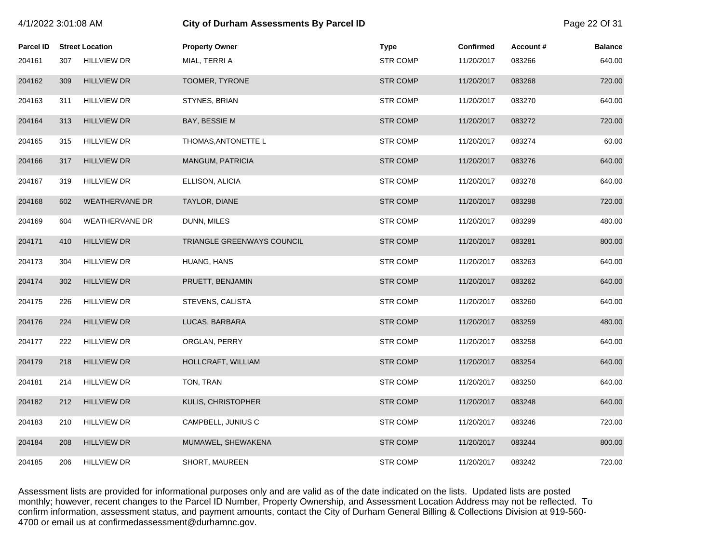| 4/1/2022 3:01:08 AM |     |                        | City of Durham Assessments By Parcel ID |                 |                  |          |                |
|---------------------|-----|------------------------|-----------------------------------------|-----------------|------------------|----------|----------------|
| <b>Parcel ID</b>    |     | <b>Street Location</b> | <b>Property Owner</b>                   | <b>Type</b>     | <b>Confirmed</b> | Account# | <b>Balance</b> |
| 204161              | 307 | <b>HILLVIEW DR</b>     | MIAL, TERRI A                           | <b>STR COMP</b> | 11/20/2017       | 083266   | 640.00         |
| 204162              | 309 | <b>HILLVIEW DR</b>     | TOOMER, TYRONE                          | <b>STR COMP</b> | 11/20/2017       | 083268   | 720.00         |
| 204163              | 311 | <b>HILLVIEW DR</b>     | STYNES, BRIAN                           | <b>STR COMP</b> | 11/20/2017       | 083270   | 640.00         |
| 204164              | 313 | <b>HILLVIEW DR</b>     | BAY, BESSIE M                           | <b>STR COMP</b> | 11/20/2017       | 083272   | 720.00         |
| 204165              | 315 | <b>HILLVIEW DR</b>     | THOMAS, ANTONETTE L                     | <b>STR COMP</b> | 11/20/2017       | 083274   | 60.00          |
| 204166              | 317 | <b>HILLVIEW DR</b>     | MANGUM, PATRICIA                        | <b>STR COMP</b> | 11/20/2017       | 083276   | 640.00         |
| 204167              | 319 | <b>HILLVIEW DR</b>     | ELLISON, ALICIA                         | <b>STR COMP</b> | 11/20/2017       | 083278   | 640.00         |
| 204168              | 602 | <b>WEATHERVANE DR</b>  | TAYLOR, DIANE                           | <b>STR COMP</b> | 11/20/2017       | 083298   | 720.00         |
| 204169              | 604 | <b>WEATHERVANE DR</b>  | DUNN, MILES                             | <b>STR COMP</b> | 11/20/2017       | 083299   | 480.00         |
| 204171              | 410 | <b>HILLVIEW DR</b>     | TRIANGLE GREENWAYS COUNCIL              | <b>STR COMP</b> | 11/20/2017       | 083281   | 800.00         |
| 204173              | 304 | <b>HILLVIEW DR</b>     | HUANG, HANS                             | <b>STR COMP</b> | 11/20/2017       | 083263   | 640.00         |
| 204174              | 302 | <b>HILLVIEW DR</b>     | PRUETT, BENJAMIN                        | <b>STR COMP</b> | 11/20/2017       | 083262   | 640.00         |
| 204175              | 226 | <b>HILLVIEW DR</b>     | STEVENS, CALISTA                        | <b>STR COMP</b> | 11/20/2017       | 083260   | 640.00         |
| 204176              | 224 | <b>HILLVIEW DR</b>     | LUCAS, BARBARA                          | <b>STR COMP</b> | 11/20/2017       | 083259   | 480.00         |
| 204177              | 222 | <b>HILLVIEW DR</b>     | ORGLAN, PERRY                           | <b>STR COMP</b> | 11/20/2017       | 083258   | 640.00         |
| 204179              | 218 | <b>HILLVIEW DR</b>     | HOLLCRAFT, WILLIAM                      | <b>STR COMP</b> | 11/20/2017       | 083254   | 640.00         |
| 204181              | 214 | <b>HILLVIEW DR</b>     | TON, TRAN                               | <b>STR COMP</b> | 11/20/2017       | 083250   | 640.00         |
| 204182              | 212 | <b>HILLVIEW DR</b>     | KULIS, CHRISTOPHER                      | <b>STR COMP</b> | 11/20/2017       | 083248   | 640.00         |
| 204183              | 210 | <b>HILLVIEW DR</b>     | CAMPBELL, JUNIUS C                      | <b>STR COMP</b> | 11/20/2017       | 083246   | 720.00         |
| 204184              | 208 | <b>HILLVIEW DR</b>     | MUMAWEL, SHEWAKENA                      | <b>STR COMP</b> | 11/20/2017       | 083244   | 800.00         |
| 204185              | 206 | <b>HILLVIEW DR</b>     | SHORT, MAUREEN                          | <b>STR COMP</b> | 11/20/2017       | 083242   | 720.00         |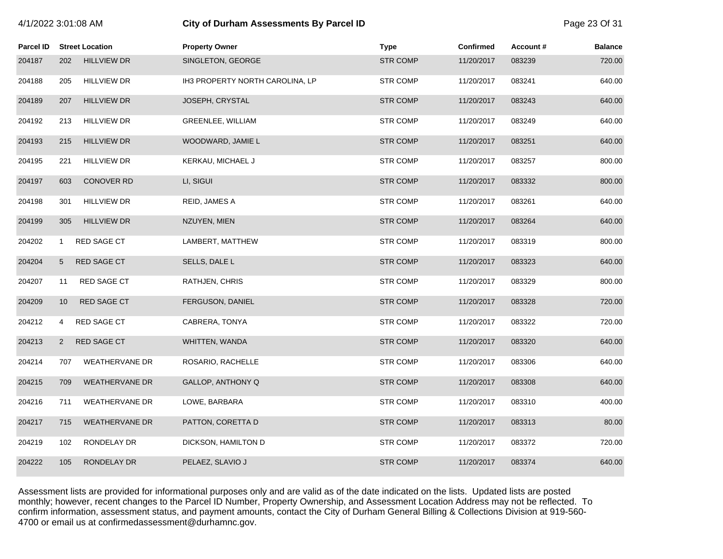| 4/1/2022 3:01:08 AM |                 |                        | <b>City of Durham Assessments By Parcel ID</b> |                 |                  |          |                |
|---------------------|-----------------|------------------------|------------------------------------------------|-----------------|------------------|----------|----------------|
| <b>Parcel ID</b>    |                 | <b>Street Location</b> | <b>Property Owner</b>                          | <b>Type</b>     | <b>Confirmed</b> | Account# | <b>Balance</b> |
| 204187              | 202             | <b>HILLVIEW DR</b>     | SINGLETON, GEORGE                              | <b>STR COMP</b> | 11/20/2017       | 083239   | 720.00         |
| 204188              | 205             | <b>HILLVIEW DR</b>     | IH3 PROPERTY NORTH CAROLINA, LP                | <b>STR COMP</b> | 11/20/2017       | 083241   | 640.00         |
| 204189              | 207             | <b>HILLVIEW DR</b>     | JOSEPH, CRYSTAL                                | <b>STR COMP</b> | 11/20/2017       | 083243   | 640.00         |
| 204192              | 213             | <b>HILLVIEW DR</b>     | GREENLEE, WILLIAM                              | <b>STR COMP</b> | 11/20/2017       | 083249   | 640.00         |
| 204193              | 215             | <b>HILLVIEW DR</b>     | WOODWARD, JAMIE L                              | <b>STR COMP</b> | 11/20/2017       | 083251   | 640.00         |
| 204195              | 221             | <b>HILLVIEW DR</b>     | KERKAU, MICHAEL J                              | <b>STR COMP</b> | 11/20/2017       | 083257   | 800.00         |
| 204197              | 603             | <b>CONOVER RD</b>      | LI, SIGUI                                      | <b>STR COMP</b> | 11/20/2017       | 083332   | 800.00         |
| 204198              | 301             | <b>HILLVIEW DR</b>     | REID, JAMES A                                  | <b>STR COMP</b> | 11/20/2017       | 083261   | 640.00         |
| 204199              | 305             | <b>HILLVIEW DR</b>     | NZUYEN, MIEN                                   | <b>STR COMP</b> | 11/20/2017       | 083264   | 640.00         |
| 204202              | $\mathbf{1}$    | RED SAGE CT            | LAMBERT, MATTHEW                               | <b>STR COMP</b> | 11/20/2017       | 083319   | 800.00         |
| 204204              | $5\overline{)}$ | <b>RED SAGE CT</b>     | SELLS, DALE L                                  | <b>STR COMP</b> | 11/20/2017       | 083323   | 640.00         |
| 204207              | 11              | RED SAGE CT            | RATHJEN, CHRIS                                 | <b>STR COMP</b> | 11/20/2017       | 083329   | 800.00         |
| 204209              | 10 <sup>°</sup> | <b>RED SAGE CT</b>     | FERGUSON, DANIEL                               | <b>STR COMP</b> | 11/20/2017       | 083328   | 720.00         |
| 204212              | 4               | RED SAGE CT            | CABRERA, TONYA                                 | <b>STR COMP</b> | 11/20/2017       | 083322   | 720.00         |
| 204213              | $\overline{2}$  | <b>RED SAGE CT</b>     | WHITTEN, WANDA                                 | <b>STR COMP</b> | 11/20/2017       | 083320   | 640.00         |
| 204214              | 707             | WEATHERVANE DR         | ROSARIO, RACHELLE                              | <b>STR COMP</b> | 11/20/2017       | 083306   | 640.00         |
| 204215              | 709             | <b>WEATHERVANE DR</b>  | GALLOP, ANTHONY Q                              | <b>STR COMP</b> | 11/20/2017       | 083308   | 640.00         |
| 204216              | 711             | <b>WEATHERVANE DR</b>  | LOWE, BARBARA                                  | <b>STR COMP</b> | 11/20/2017       | 083310   | 400.00         |
| 204217              | 715             | <b>WEATHERVANE DR</b>  | PATTON, CORETTA D                              | <b>STR COMP</b> | 11/20/2017       | 083313   | 80.00          |
| 204219              | 102             | RONDELAY DR            | DICKSON, HAMILTON D                            | <b>STR COMP</b> | 11/20/2017       | 083372   | 720.00         |
| 204222              | 105             | RONDELAY DR            | PELAEZ, SLAVIO J                               | <b>STR COMP</b> | 11/20/2017       | 083374   | 640.00         |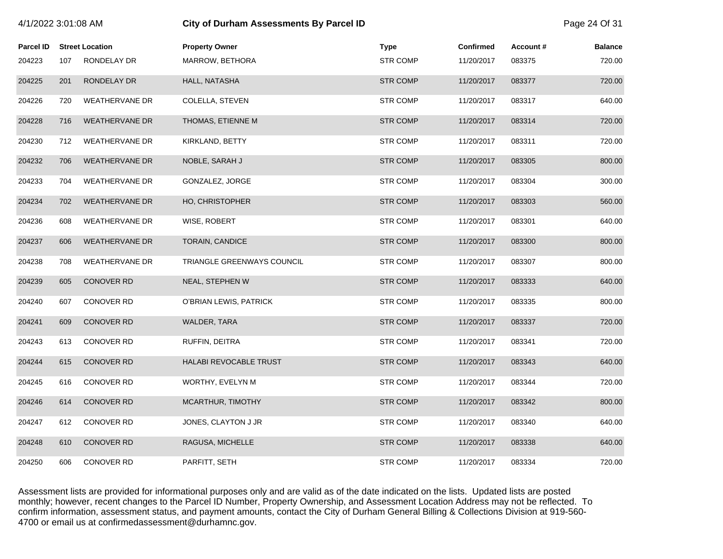| 4/1/2022 3:01:08 AM |     |                        | <b>City of Durham Assessments By Parcel ID</b> |                 |                  |          |                |
|---------------------|-----|------------------------|------------------------------------------------|-----------------|------------------|----------|----------------|
| <b>Parcel ID</b>    |     | <b>Street Location</b> | <b>Property Owner</b>                          | <b>Type</b>     | <b>Confirmed</b> | Account# | <b>Balance</b> |
| 204223              | 107 | RONDELAY DR            | MARROW, BETHORA                                | <b>STR COMP</b> | 11/20/2017       | 083375   | 720.00         |
| 204225              | 201 | RONDELAY DR            | HALL, NATASHA                                  | <b>STR COMP</b> | 11/20/2017       | 083377   | 720.00         |
| 204226              | 720 | <b>WEATHERVANE DR</b>  | COLELLA, STEVEN                                | <b>STR COMP</b> | 11/20/2017       | 083317   | 640.00         |
| 204228              | 716 | <b>WEATHERVANE DR</b>  | THOMAS, ETIENNE M                              | <b>STR COMP</b> | 11/20/2017       | 083314   | 720.00         |
| 204230              | 712 | <b>WEATHERVANE DR</b>  | KIRKLAND, BETTY                                | <b>STR COMP</b> | 11/20/2017       | 083311   | 720.00         |
| 204232              | 706 | <b>WEATHERVANE DR</b>  | NOBLE, SARAH J                                 | <b>STR COMP</b> | 11/20/2017       | 083305   | 800.00         |
| 204233              | 704 | <b>WEATHERVANE DR</b>  | GONZALEZ, JORGE                                | <b>STR COMP</b> | 11/20/2017       | 083304   | 300.00         |
| 204234              | 702 | <b>WEATHERVANE DR</b>  | <b>HO, CHRISTOPHER</b>                         | <b>STR COMP</b> | 11/20/2017       | 083303   | 560.00         |
| 204236              | 608 | <b>WEATHERVANE DR</b>  | WISE, ROBERT                                   | <b>STR COMP</b> | 11/20/2017       | 083301   | 640.00         |
| 204237              | 606 | <b>WEATHERVANE DR</b>  | TORAIN, CANDICE                                | <b>STR COMP</b> | 11/20/2017       | 083300   | 800.00         |
| 204238              | 708 | <b>WEATHERVANE DR</b>  | TRIANGLE GREENWAYS COUNCIL                     | <b>STR COMP</b> | 11/20/2017       | 083307   | 800.00         |
| 204239              | 605 | <b>CONOVER RD</b>      | NEAL, STEPHEN W                                | <b>STR COMP</b> | 11/20/2017       | 083333   | 640.00         |
| 204240              | 607 | <b>CONOVER RD</b>      | O'BRIAN LEWIS, PATRICK                         | <b>STR COMP</b> | 11/20/2017       | 083335   | 800.00         |
| 204241              | 609 | <b>CONOVER RD</b>      | WALDER, TARA                                   | <b>STR COMP</b> | 11/20/2017       | 083337   | 720.00         |
| 204243              | 613 | <b>CONOVER RD</b>      | RUFFIN, DEITRA                                 | <b>STR COMP</b> | 11/20/2017       | 083341   | 720.00         |
| 204244              | 615 | <b>CONOVER RD</b>      | HALABI REVOCABLE TRUST                         | <b>STR COMP</b> | 11/20/2017       | 083343   | 640.00         |
| 204245              | 616 | <b>CONOVER RD</b>      | WORTHY, EVELYN M                               | <b>STR COMP</b> | 11/20/2017       | 083344   | 720.00         |
| 204246              | 614 | <b>CONOVER RD</b>      | MCARTHUR, TIMOTHY                              | <b>STR COMP</b> | 11/20/2017       | 083342   | 800.00         |
| 204247              | 612 | CONOVER RD             | JONES, CLAYTON J JR                            | <b>STR COMP</b> | 11/20/2017       | 083340   | 640.00         |
| 204248              | 610 | <b>CONOVER RD</b>      | RAGUSA, MICHELLE                               | <b>STR COMP</b> | 11/20/2017       | 083338   | 640.00         |
| 204250              | 606 | <b>CONOVER RD</b>      | PARFITT, SETH                                  | <b>STR COMP</b> | 11/20/2017       | 083334   | 720.00         |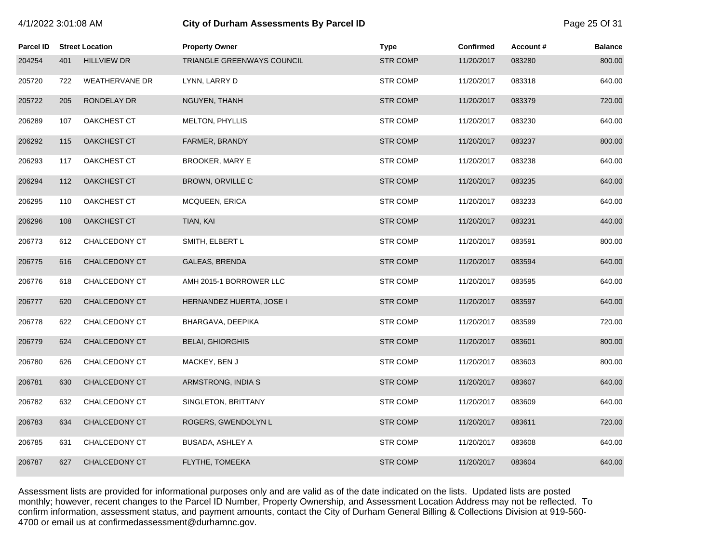| Parcel ID |     | <b>Street Location</b> | <b>Property Owner</b>      | <b>Type</b>     | Confirmed  | Account# | <b>Balance</b> |
|-----------|-----|------------------------|----------------------------|-----------------|------------|----------|----------------|
| 204254    | 401 | <b>HILLVIEW DR</b>     | TRIANGLE GREENWAYS COUNCIL | <b>STR COMP</b> | 11/20/2017 | 083280   | 800.00         |
| 205720    | 722 | <b>WEATHERVANE DR</b>  | LYNN, LARRY D              | <b>STR COMP</b> | 11/20/2017 | 083318   | 640.00         |
| 205722    | 205 | RONDELAY DR            | NGUYEN, THANH              | <b>STR COMP</b> | 11/20/2017 | 083379   | 720.00         |
| 206289    | 107 | <b>OAKCHEST CT</b>     | <b>MELTON, PHYLLIS</b>     | <b>STR COMP</b> | 11/20/2017 | 083230   | 640.00         |
| 206292    | 115 | OAKCHEST CT            | FARMER, BRANDY             | <b>STR COMP</b> | 11/20/2017 | 083237   | 800.00         |
| 206293    | 117 | OAKCHEST CT            | <b>BROOKER, MARY E</b>     | <b>STR COMP</b> | 11/20/2017 | 083238   | 640.00         |
| 206294    | 112 | OAKCHEST CT            | BROWN, ORVILLE C           | <b>STR COMP</b> | 11/20/2017 | 083235   | 640.00         |
| 206295    | 110 | OAKCHEST CT            | <b>MCQUEEN, ERICA</b>      | <b>STR COMP</b> | 11/20/2017 | 083233   | 640.00         |
| 206296    | 108 | <b>OAKCHEST CT</b>     | TIAN, KAI                  | <b>STR COMP</b> | 11/20/2017 | 083231   | 440.00         |
| 206773    | 612 | CHALCEDONY CT          | SMITH, ELBERT L            | <b>STR COMP</b> | 11/20/2017 | 083591   | 800.00         |
| 206775    | 616 | CHALCEDONY CT          | GALEAS, BRENDA             | <b>STR COMP</b> | 11/20/2017 | 083594   | 640.00         |
| 206776    | 618 | CHALCEDONY CT          | AMH 2015-1 BORROWER LLC    | <b>STR COMP</b> | 11/20/2017 | 083595   | 640.00         |
| 206777    | 620 | CHALCEDONY CT          | HERNANDEZ HUERTA, JOSE I   | <b>STR COMP</b> | 11/20/2017 | 083597   | 640.00         |
| 206778    | 622 | CHALCEDONY CT          | BHARGAVA, DEEPIKA          | <b>STR COMP</b> | 11/20/2017 | 083599   | 720.00         |
| 206779    | 624 | CHALCEDONY CT          | <b>BELAI, GHIORGHIS</b>    | <b>STR COMP</b> | 11/20/2017 | 083601   | 800.00         |
| 206780    | 626 | CHALCEDONY CT          | MACKEY, BEN J              | <b>STR COMP</b> | 11/20/2017 | 083603   | 800.00         |
| 206781    | 630 | CHALCEDONY CT          | ARMSTRONG, INDIA S         | <b>STR COMP</b> | 11/20/2017 | 083607   | 640.00         |
| 206782    | 632 | CHALCEDONY CT          | SINGLETON, BRITTANY        | <b>STR COMP</b> | 11/20/2017 | 083609   | 640.00         |
| 206783    | 634 | <b>CHALCEDONY CT</b>   | ROGERS, GWENDOLYN L        | <b>STR COMP</b> | 11/20/2017 | 083611   | 720.00         |
| 206785    | 631 | CHALCEDONY CT          | BUSADA, ASHLEY A           | <b>STR COMP</b> | 11/20/2017 | 083608   | 640.00         |
| 206787    | 627 | CHALCEDONY CT          | FLYTHE, TOMEEKA            | <b>STR COMP</b> | 11/20/2017 | 083604   | 640.00         |

4/1/2022 3:01:08 AM **City of Durham Assessments By Parcel ID** Page 25 Of 31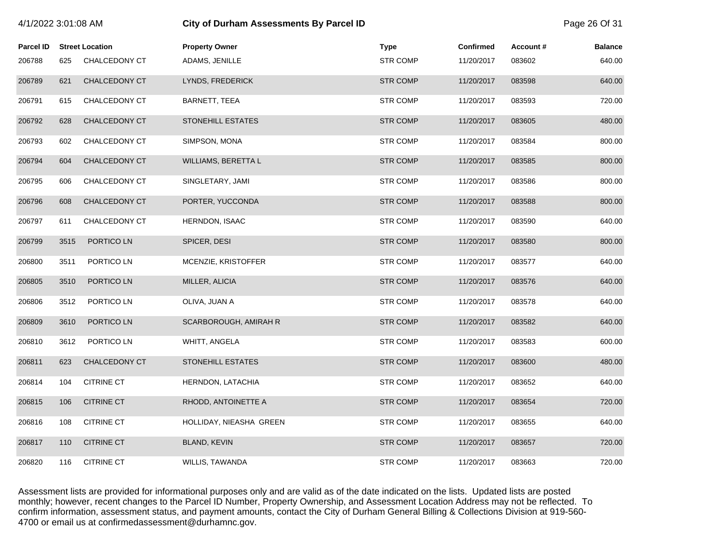| 4/1/2022 3:01:08 AM |      |                        | <b>City of Durham Assessments By Parcel ID</b> |                 |                  |          |                |
|---------------------|------|------------------------|------------------------------------------------|-----------------|------------------|----------|----------------|
| <b>Parcel ID</b>    |      | <b>Street Location</b> | <b>Property Owner</b>                          | <b>Type</b>     | <b>Confirmed</b> | Account# | <b>Balance</b> |
| 206788              | 625  | CHALCEDONY CT          | ADAMS, JENILLE                                 | <b>STR COMP</b> | 11/20/2017       | 083602   | 640.00         |
| 206789              | 621  | CHALCEDONY CT          | LYNDS, FREDERICK                               | <b>STR COMP</b> | 11/20/2017       | 083598   | 640.00         |
| 206791              | 615  | CHALCEDONY CT          | BARNETT, TEEA                                  | <b>STR COMP</b> | 11/20/2017       | 083593   | 720.00         |
| 206792              | 628  | <b>CHALCEDONY CT</b>   | <b>STONEHILL ESTATES</b>                       | <b>STR COMP</b> | 11/20/2017       | 083605   | 480.00         |
| 206793              | 602  | CHALCEDONY CT          | SIMPSON, MONA                                  | <b>STR COMP</b> | 11/20/2017       | 083584   | 800.00         |
| 206794              | 604  | <b>CHALCEDONY CT</b>   | <b>WILLIAMS, BERETTA L</b>                     | <b>STR COMP</b> | 11/20/2017       | 083585   | 800.00         |
| 206795              | 606  | CHALCEDONY CT          | SINGLETARY, JAMI                               | <b>STR COMP</b> | 11/20/2017       | 083586   | 800.00         |
| 206796              | 608  | <b>CHALCEDONY CT</b>   | PORTER, YUCCONDA                               | <b>STR COMP</b> | 11/20/2017       | 083588   | 800.00         |
| 206797              | 611  | CHALCEDONY CT          | <b>HERNDON, ISAAC</b>                          | <b>STR COMP</b> | 11/20/2017       | 083590   | 640.00         |
| 206799              | 3515 | PORTICO LN             | SPICER, DESI                                   | <b>STR COMP</b> | 11/20/2017       | 083580   | 800.00         |
| 206800              | 3511 | PORTICO LN             | MCENZIE, KRISTOFFER                            | <b>STR COMP</b> | 11/20/2017       | 083577   | 640.00         |
| 206805              | 3510 | PORTICO LN             | MILLER, ALICIA                                 | <b>STR COMP</b> | 11/20/2017       | 083576   | 640.00         |
| 206806              | 3512 | PORTICO LN             | OLIVA, JUAN A                                  | <b>STR COMP</b> | 11/20/2017       | 083578   | 640.00         |
| 206809              | 3610 | PORTICO LN             | SCARBOROUGH, AMIRAH R                          | <b>STR COMP</b> | 11/20/2017       | 083582   | 640.00         |
| 206810              | 3612 | PORTICO LN             | WHITT, ANGELA                                  | <b>STR COMP</b> | 11/20/2017       | 083583   | 600.00         |
| 206811              | 623  | CHALCEDONY CT          | STONEHILL ESTATES                              | <b>STR COMP</b> | 11/20/2017       | 083600   | 480.00         |
| 206814              | 104  | <b>CITRINE CT</b>      | HERNDON, LATACHIA                              | <b>STR COMP</b> | 11/20/2017       | 083652   | 640.00         |
| 206815              | 106  | <b>CITRINE CT</b>      | RHODD, ANTOINETTE A                            | <b>STR COMP</b> | 11/20/2017       | 083654   | 720.00         |
| 206816              | 108  | <b>CITRINE CT</b>      | HOLLIDAY, NIEASHA GREEN                        | <b>STR COMP</b> | 11/20/2017       | 083655   | 640.00         |
| 206817              | 110  | <b>CITRINE CT</b>      | <b>BLAND, KEVIN</b>                            | <b>STR COMP</b> | 11/20/2017       | 083657   | 720.00         |
| 206820              | 116  | <b>CITRINE CT</b>      | WILLIS, TAWANDA                                | <b>STR COMP</b> | 11/20/2017       | 083663   | 720.00         |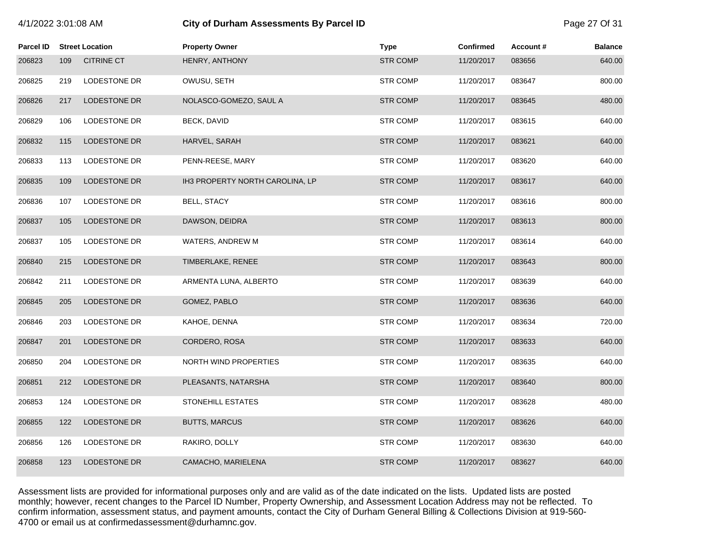| 4/1/2022 3:01:08 AM |  |  |
|---------------------|--|--|
|---------------------|--|--|

# **City of Durham Assessments By Parcel ID**  Page 27 Of 31

| <b>Parcel ID</b> |     | <b>Street Location</b> | <b>Property Owner</b>           | <b>Type</b>     | <b>Confirmed</b> | Account# | <b>Balance</b> |
|------------------|-----|------------------------|---------------------------------|-----------------|------------------|----------|----------------|
| 206823           | 109 | <b>CITRINE CT</b>      | HENRY, ANTHONY                  | <b>STR COMP</b> | 11/20/2017       | 083656   | 640.00         |
| 206825           | 219 | LODESTONE DR           | OWUSU, SETH                     | <b>STR COMP</b> | 11/20/2017       | 083647   | 800.00         |
| 206826           | 217 | LODESTONE DR           | NOLASCO-GOMEZO, SAUL A          | <b>STR COMP</b> | 11/20/2017       | 083645   | 480.00         |
| 206829           | 106 | LODESTONE DR           | <b>BECK, DAVID</b>              | <b>STR COMP</b> | 11/20/2017       | 083615   | 640.00         |
| 206832           | 115 | <b>LODESTONE DR</b>    | HARVEL, SARAH                   | <b>STR COMP</b> | 11/20/2017       | 083621   | 640.00         |
| 206833           | 113 | LODESTONE DR           | PENN-REESE, MARY                | <b>STR COMP</b> | 11/20/2017       | 083620   | 640.00         |
| 206835           | 109 | LODESTONE DR           | IH3 PROPERTY NORTH CAROLINA, LP | <b>STR COMP</b> | 11/20/2017       | 083617   | 640.00         |
| 206836           | 107 | LODESTONE DR           | BELL, STACY                     | <b>STR COMP</b> | 11/20/2017       | 083616   | 800.00         |
| 206837           | 105 | LODESTONE DR           | DAWSON, DEIDRA                  | <b>STR COMP</b> | 11/20/2017       | 083613   | 800.00         |
| 206837           | 105 | LODESTONE DR           | WATERS, ANDREW M                | <b>STR COMP</b> | 11/20/2017       | 083614   | 640.00         |
| 206840           | 215 | LODESTONE DR           | TIMBERLAKE, RENEE               | <b>STR COMP</b> | 11/20/2017       | 083643   | 800.00         |
| 206842           | 211 | LODESTONE DR           | ARMENTA LUNA, ALBERTO           | <b>STR COMP</b> | 11/20/2017       | 083639   | 640.00         |
| 206845           | 205 | LODESTONE DR           | GOMEZ, PABLO                    | <b>STR COMP</b> | 11/20/2017       | 083636   | 640.00         |
| 206846           | 203 | LODESTONE DR           | KAHOE, DENNA                    | <b>STR COMP</b> | 11/20/2017       | 083634   | 720.00         |
| 206847           | 201 | LODESTONE DR           | CORDERO, ROSA                   | <b>STR COMP</b> | 11/20/2017       | 083633   | 640.00         |
| 206850           | 204 | LODESTONE DR           | NORTH WIND PROPERTIES           | <b>STR COMP</b> | 11/20/2017       | 083635   | 640.00         |
| 206851           | 212 | LODESTONE DR           | PLEASANTS, NATARSHA             | <b>STR COMP</b> | 11/20/2017       | 083640   | 800.00         |
| 206853           | 124 | LODESTONE DR           | <b>STONEHILL ESTATES</b>        | <b>STR COMP</b> | 11/20/2017       | 083628   | 480.00         |
| 206855           | 122 | LODESTONE DR           | <b>BUTTS, MARCUS</b>            | <b>STR COMP</b> | 11/20/2017       | 083626   | 640.00         |
| 206856           | 126 | LODESTONE DR           | RAKIRO, DOLLY                   | <b>STR COMP</b> | 11/20/2017       | 083630   | 640.00         |
| 206858           | 123 | <b>LODESTONE DR</b>    | CAMACHO, MARIELENA              | <b>STR COMP</b> | 11/20/2017       | 083627   | 640.00         |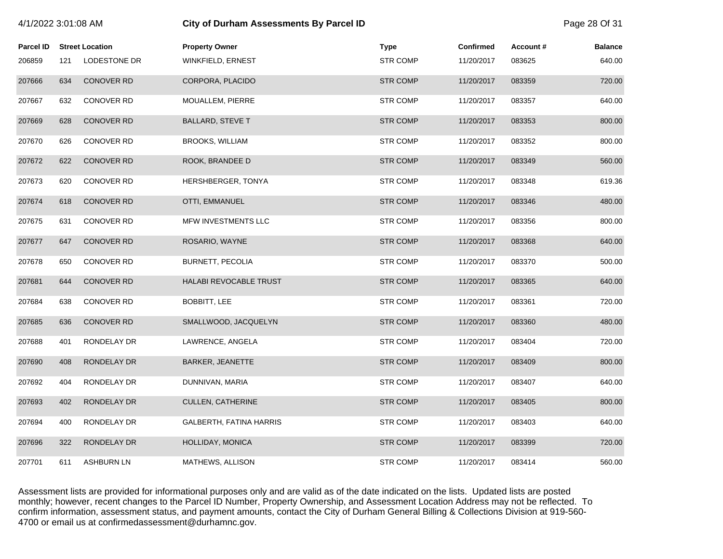| 4/1/2022 3:01:08 AM |     |                        | <b>City of Durham Assessments By Parcel ID</b> |                 |                  |          |                |
|---------------------|-----|------------------------|------------------------------------------------|-----------------|------------------|----------|----------------|
| <b>Parcel ID</b>    |     | <b>Street Location</b> | <b>Property Owner</b>                          | <b>Type</b>     | <b>Confirmed</b> | Account# | <b>Balance</b> |
| 206859              | 121 | LODESTONE DR           | WINKFIELD, ERNEST                              | <b>STR COMP</b> | 11/20/2017       | 083625   | 640.00         |
| 207666              | 634 | <b>CONOVER RD</b>      | CORPORA, PLACIDO                               | <b>STR COMP</b> | 11/20/2017       | 083359   | 720.00         |
| 207667              | 632 | <b>CONOVER RD</b>      | MOUALLEM, PIERRE                               | <b>STR COMP</b> | 11/20/2017       | 083357   | 640.00         |
| 207669              | 628 | <b>CONOVER RD</b>      | <b>BALLARD, STEVE T</b>                        | <b>STR COMP</b> | 11/20/2017       | 083353   | 800.00         |
| 207670              | 626 | <b>CONOVER RD</b>      | <b>BROOKS, WILLIAM</b>                         | <b>STR COMP</b> | 11/20/2017       | 083352   | 800.00         |
| 207672              | 622 | <b>CONOVER RD</b>      | ROOK, BRANDEE D                                | <b>STR COMP</b> | 11/20/2017       | 083349   | 560.00         |
| 207673              | 620 | <b>CONOVER RD</b>      | HERSHBERGER, TONYA                             | <b>STR COMP</b> | 11/20/2017       | 083348   | 619.36         |
| 207674              | 618 | <b>CONOVER RD</b>      | OTTI, EMMANUEL                                 | <b>STR COMP</b> | 11/20/2017       | 083346   | 480.00         |
| 207675              | 631 | <b>CONOVER RD</b>      | MFW INVESTMENTS LLC                            | <b>STR COMP</b> | 11/20/2017       | 083356   | 800.00         |
| 207677              | 647 | <b>CONOVER RD</b>      | ROSARIO, WAYNE                                 | <b>STR COMP</b> | 11/20/2017       | 083368   | 640.00         |
| 207678              | 650 | <b>CONOVER RD</b>      | BURNETT, PECOLIA                               | <b>STR COMP</b> | 11/20/2017       | 083370   | 500.00         |
| 207681              | 644 | <b>CONOVER RD</b>      | HALABI REVOCABLE TRUST                         | <b>STR COMP</b> | 11/20/2017       | 083365   | 640.00         |
| 207684              | 638 | <b>CONOVER RD</b>      | BOBBITT, LEE                                   | <b>STR COMP</b> | 11/20/2017       | 083361   | 720.00         |
| 207685              | 636 | <b>CONOVER RD</b>      | SMALLWOOD, JACQUELYN                           | <b>STR COMP</b> | 11/20/2017       | 083360   | 480.00         |
| 207688              | 401 | RONDELAY DR            | LAWRENCE, ANGELA                               | <b>STR COMP</b> | 11/20/2017       | 083404   | 720.00         |
| 207690              | 408 | RONDELAY DR            | BARKER, JEANETTE                               | <b>STR COMP</b> | 11/20/2017       | 083409   | 800.00         |
| 207692              | 404 | RONDELAY DR            | DUNNIVAN, MARIA                                | <b>STR COMP</b> | 11/20/2017       | 083407   | 640.00         |
| 207693              | 402 | RONDELAY DR            | CULLEN, CATHERINE                              | <b>STR COMP</b> | 11/20/2017       | 083405   | 800.00         |
| 207694              | 400 | RONDELAY DR            | <b>GALBERTH, FATINA HARRIS</b>                 | <b>STR COMP</b> | 11/20/2017       | 083403   | 640.00         |
| 207696              | 322 | RONDELAY DR            | HOLLIDAY, MONICA                               | <b>STR COMP</b> | 11/20/2017       | 083399   | 720.00         |
| 207701              | 611 | <b>ASHBURN LN</b>      | MATHEWS, ALLISON                               | <b>STR COMP</b> | 11/20/2017       | 083414   | 560.00         |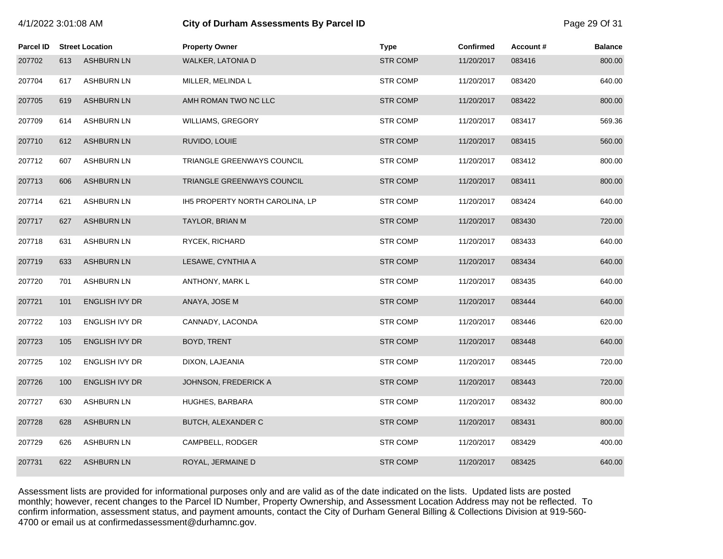| 4/1/2022 3:01:08 AM |     |                        | City of Durham Assessments By Parcel ID | Page 29 Of 31   |                  |          |                |
|---------------------|-----|------------------------|-----------------------------------------|-----------------|------------------|----------|----------------|
| <b>Parcel ID</b>    |     | <b>Street Location</b> | <b>Property Owner</b>                   | <b>Type</b>     | <b>Confirmed</b> | Account# | <b>Balance</b> |
| 207702              | 613 | <b>ASHBURN LN</b>      | WALKER, LATONIA D                       | <b>STR COMP</b> | 11/20/2017       | 083416   | 800.00         |
| 207704              | 617 | <b>ASHBURN LN</b>      | MILLER, MELINDA L                       | <b>STR COMP</b> | 11/20/2017       | 083420   | 640.00         |
| 207705              | 619 | <b>ASHBURN LN</b>      | AMH ROMAN TWO NC LLC                    | <b>STR COMP</b> | 11/20/2017       | 083422   | 800.00         |
| 207709              | 614 | <b>ASHBURN LN</b>      | WILLIAMS, GREGORY                       | <b>STR COMP</b> | 11/20/2017       | 083417   | 569.36         |
| 207710              | 612 | <b>ASHBURN LN</b>      | RUVIDO, LOUIE                           | <b>STR COMP</b> | 11/20/2017       | 083415   | 560.00         |
| 207712              | 607 | <b>ASHBURN LN</b>      | TRIANGLE GREENWAYS COUNCIL              | <b>STR COMP</b> | 11/20/2017       | 083412   | 800.00         |
| 207713              | 606 | <b>ASHBURN LN</b>      | TRIANGLE GREENWAYS COUNCIL              | <b>STR COMP</b> | 11/20/2017       | 083411   | 800.00         |
| 207714              | 621 | <b>ASHBURN LN</b>      | IH5 PROPERTY NORTH CAROLINA, LP         | <b>STR COMP</b> | 11/20/2017       | 083424   | 640.00         |
| 207717              | 627 | <b>ASHBURN LN</b>      | TAYLOR, BRIAN M                         | <b>STR COMP</b> | 11/20/2017       | 083430   | 720.00         |
| 207718              | 631 | <b>ASHBURN LN</b>      | RYCEK, RICHARD                          | <b>STR COMP</b> | 11/20/2017       | 083433   | 640.00         |
| 207719              | 633 | <b>ASHBURN LN</b>      | LESAWE, CYNTHIA A                       | <b>STR COMP</b> | 11/20/2017       | 083434   | 640.00         |
| 207720              | 701 | <b>ASHBURN LN</b>      | ANTHONY, MARK L                         | <b>STR COMP</b> | 11/20/2017       | 083435   | 640.00         |
| 207721              | 101 | ENGLISH IVY DR         | ANAYA, JOSE M                           | <b>STR COMP</b> | 11/20/2017       | 083444   | 640.00         |
| 207722              | 103 | ENGLISH IVY DR         | CANNADY, LACONDA                        | <b>STR COMP</b> | 11/20/2017       | 083446   | 620.00         |
| 207723              | 105 | ENGLISH IVY DR         | BOYD, TRENT                             | <b>STR COMP</b> | 11/20/2017       | 083448   | 640.00         |
| 207725              | 102 | ENGLISH IVY DR         | DIXON, LAJEANIA                         | <b>STR COMP</b> | 11/20/2017       | 083445   | 720.00         |
| 207726              | 100 | <b>ENGLISH IVY DR</b>  | JOHNSON, FREDERICK A                    | <b>STR COMP</b> | 11/20/2017       | 083443   | 720.00         |
| 207727              | 630 | <b>ASHBURN LN</b>      | HUGHES, BARBARA                         | <b>STR COMP</b> | 11/20/2017       | 083432   | 800.00         |
| 207728              | 628 | <b>ASHBURN LN</b>      | BUTCH, ALEXANDER C                      | <b>STR COMP</b> | 11/20/2017       | 083431   | 800.00         |
| 207729              | 626 | <b>ASHBURN LN</b>      | CAMPBELL, RODGER                        | <b>STR COMP</b> | 11/20/2017       | 083429   | 400.00         |
| 207731              | 622 | <b>ASHBURN LN</b>      | ROYAL, JERMAINE D                       | <b>STR COMP</b> | 11/20/2017       | 083425   | 640.00         |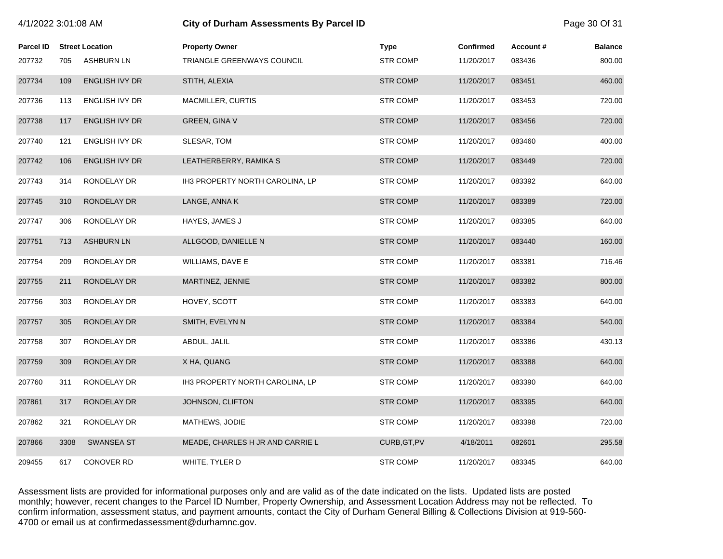| 4/1/2022 3:01:08 AM |      |                        | <b>City of Durham Assessments By Parcel ID</b> |                 |                  |          |                |
|---------------------|------|------------------------|------------------------------------------------|-----------------|------------------|----------|----------------|
| <b>Parcel ID</b>    |      | <b>Street Location</b> | <b>Property Owner</b>                          | Type            | <b>Confirmed</b> | Account# | <b>Balance</b> |
| 207732              | 705  | <b>ASHBURN LN</b>      | TRIANGLE GREENWAYS COUNCIL                     | <b>STR COMP</b> | 11/20/2017       | 083436   | 800.00         |
| 207734              | 109  | <b>ENGLISH IVY DR</b>  | STITH, ALEXIA                                  | <b>STR COMP</b> | 11/20/2017       | 083451   | 460.00         |
| 207736              | 113  | <b>ENGLISH IVY DR</b>  | <b>MACMILLER, CURTIS</b>                       | <b>STR COMP</b> | 11/20/2017       | 083453   | 720.00         |
| 207738              | 117  | <b>ENGLISH IVY DR</b>  | <b>GREEN, GINA V</b>                           | <b>STR COMP</b> | 11/20/2017       | 083456   | 720.00         |
| 207740              | 121  | <b>ENGLISH IVY DR</b>  | SLESAR, TOM                                    | <b>STR COMP</b> | 11/20/2017       | 083460   | 400.00         |
| 207742              | 106  | <b>ENGLISH IVY DR</b>  | LEATHERBERRY, RAMIKA S                         | <b>STR COMP</b> | 11/20/2017       | 083449   | 720.00         |
| 207743              | 314  | RONDELAY DR            | IH3 PROPERTY NORTH CAROLINA, LP                | <b>STR COMP</b> | 11/20/2017       | 083392   | 640.00         |
| 207745              | 310  | RONDELAY DR            | LANGE, ANNA K                                  | <b>STR COMP</b> | 11/20/2017       | 083389   | 720.00         |
| 207747              | 306  | RONDELAY DR            | HAYES, JAMES J                                 | <b>STR COMP</b> | 11/20/2017       | 083385   | 640.00         |
| 207751              | 713  | <b>ASHBURN LN</b>      | ALLGOOD, DANIELLE N                            | <b>STR COMP</b> | 11/20/2017       | 083440   | 160.00         |
| 207754              | 209  | RONDELAY DR            | WILLIAMS, DAVE E                               | <b>STR COMP</b> | 11/20/2017       | 083381   | 716.46         |
| 207755              | 211  | RONDELAY DR            | MARTINEZ, JENNIE                               | <b>STR COMP</b> | 11/20/2017       | 083382   | 800.00         |
| 207756              | 303  | RONDELAY DR            | HOVEY, SCOTT                                   | <b>STR COMP</b> | 11/20/2017       | 083383   | 640.00         |
| 207757              | 305  | RONDELAY DR            | SMITH, EVELYN N                                | <b>STR COMP</b> | 11/20/2017       | 083384   | 540.00         |
| 207758              | 307  | RONDELAY DR            | ABDUL, JALIL                                   | <b>STR COMP</b> | 11/20/2017       | 083386   | 430.13         |
| 207759              | 309  | RONDELAY DR            | X HA, QUANG                                    | <b>STR COMP</b> | 11/20/2017       | 083388   | 640.00         |
| 207760              | 311  | RONDELAY DR            | IH3 PROPERTY NORTH CAROLINA, LP                | <b>STR COMP</b> | 11/20/2017       | 083390   | 640.00         |
| 207861              | 317  | RONDELAY DR            | JOHNSON, CLIFTON                               | <b>STR COMP</b> | 11/20/2017       | 083395   | 640.00         |
| 207862              | 321  | RONDELAY DR            | MATHEWS, JODIE                                 | <b>STR COMP</b> | 11/20/2017       | 083398   | 720.00         |
| 207866              | 3308 | <b>SWANSEA ST</b>      | MEADE, CHARLES H JR AND CARRIE L               | CURB, GT, PV    | 4/18/2011        | 082601   | 295.58         |
| 209455              | 617  | <b>CONOVER RD</b>      | WHITE, TYLER D                                 | <b>STR COMP</b> | 11/20/2017       | 083345   | 640.00         |